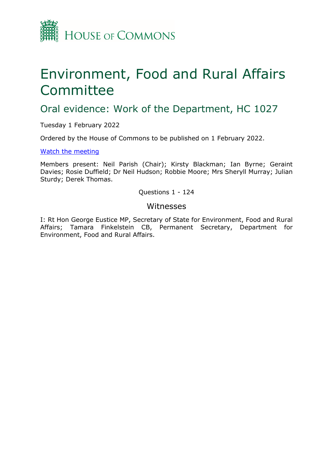

# Environment, Food and Rural Affairs Committee

# Oral evidence: Work of the Department, HC 1027

Tuesday 1 February 2022

Ordered by the House of Commons to be published on 1 February 2022.

[Watch the meeting](https://parliamentlive.tv/Event/Index/a93082cc-6ac0-4c6a-bec2-7ab5a085ad51)

Members present: Neil Parish (Chair); Kirsty Blackman; Ian Byrne; Geraint Davies; Rosie Duffield; Dr Neil Hudson; Robbie Moore; Mrs Sheryll Murray; Julian Sturdy; Derek Thomas.

Questions 1 - 124

### Witnesses

I: Rt Hon George Eustice MP, Secretary of State for Environment, Food and Rural Affairs; Tamara Finkelstein CB, Permanent Secretary, Department for Environment, Food and Rural Affairs.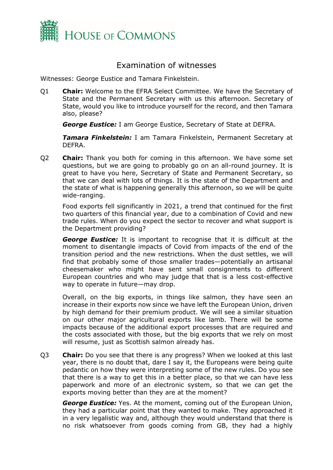

## Examination of witnesses

Witnesses: George Eustice and Tamara Finkelstein.

Q1 **Chair:** Welcome to the EFRA Select Committee. We have the Secretary of State and the Permanent Secretary with us this afternoon. Secretary of State, would you like to introduce yourself for the record, and then Tamara also, please?

*George Eustice:* I am George Eustice, Secretary of State at DEFRA.

*Tamara Finkelstein:* I am Tamara Finkelstein, Permanent Secretary at DEFRA.

Q2 **Chair:** Thank you both for coming in this afternoon. We have some set questions, but we are going to probably go on an all-round journey. It is great to have you here, Secretary of State and Permanent Secretary, so that we can deal with lots of things. It is the state of the Department and the state of what is happening generally this afternoon, so we will be quite wide-ranging.

Food exports fell significantly in 2021, a trend that continued for the first two quarters of this financial year, due to a combination of Covid and new trade rules. When do you expect the sector to recover and what support is the Department providing?

*George Eustice:* It is important to recognise that it is difficult at the moment to disentangle impacts of Covid from impacts of the end of the transition period and the new restrictions. When the dust settles, we will find that probably some of those smaller trades—potentially an artisanal cheesemaker who might have sent small consignments to different European countries and who may judge that that is a less cost-effective way to operate in future—may drop.

Overall, on the big exports, in things like salmon, they have seen an increase in their exports now since we have left the European Union, driven by high demand for their premium product. We will see a similar situation on our other major agricultural exports like lamb. There will be some impacts because of the additional export processes that are required and the costs associated with those, but the big exports that we rely on most will resume, just as Scottish salmon already has.

Q3 **Chair:** Do you see that there is any progress? When we looked at this last year, there is no doubt that, dare I say it, the Europeans were being quite pedantic on how they were interpreting some of the new rules. Do you see that there is a way to get this in a better place, so that we can have less paperwork and more of an electronic system, so that we can get the exports moving better than they are at the moment?

*George Eustice:* Yes. At the moment, coming out of the European Union, they had a particular point that they wanted to make. They approached it in a very legalistic way and, although they would understand that there is no risk whatsoever from goods coming from GB, they had a highly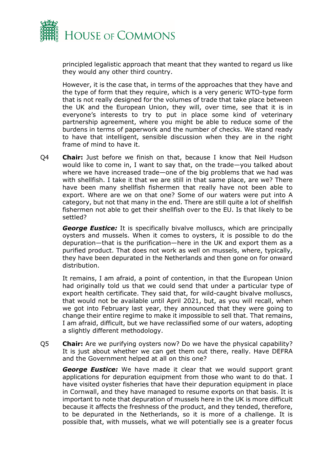

principled legalistic approach that meant that they wanted to regard us like they would any other third country.

However, it is the case that, in terms of the approaches that they have and the type of form that they require, which is a very generic WTO-type form that is not really designed for the volumes of trade that take place between the UK and the European Union, they will, over time, see that it is in everyone's interests to try to put in place some kind of veterinary partnership agreement, where you might be able to reduce some of the burdens in terms of paperwork and the number of checks. We stand ready to have that intelligent, sensible discussion when they are in the right frame of mind to have it.

Q4 **Chair:** Just before we finish on that, because I know that Neil Hudson would like to come in, I want to say that, on the trade—you talked about where we have increased trade—one of the big problems that we had was with shellfish. I take it that we are still in that same place, are we? There have been many shellfish fishermen that really have not been able to export. Where are we on that one? Some of our waters were put into A category, but not that many in the end. There are still quite a lot of shellfish fishermen not able to get their shellfish over to the EU. Is that likely to be settled?

*George Eustice:* It is specifically bivalve molluscs, which are principally oysters and mussels. When it comes to oysters, it is possible to do the depuration—that is the purification—here in the UK and export them as a purified product. That does not work as well on mussels, where, typically, they have been depurated in the Netherlands and then gone on for onward distribution.

It remains, I am afraid, a point of contention, in that the European Union had originally told us that we could send that under a particular type of export health certificate. They said that, for wild-caught bivalve molluscs, that would not be available until April 2021, but, as you will recall, when we got into February last year, they announced that they were going to change their entire regime to make it impossible to sell that. That remains, I am afraid, difficult, but we have reclassified some of our waters, adopting a slightly different methodology.

Q5 **Chair:** Are we purifying oysters now? Do we have the physical capability? It is just about whether we can get them out there, really. Have DEFRA and the Government helped at all on this one?

*George Eustice:* We have made it clear that we would support grant applications for depuration equipment from those who want to do that. I have visited oyster fisheries that have their depuration equipment in place in Cornwall, and they have managed to resume exports on that basis. It is important to note that depuration of mussels here in the UK is more difficult because it affects the freshness of the product, and they tended, therefore, to be depurated in the Netherlands, so it is more of a challenge. It is possible that, with mussels, what we will potentially see is a greater focus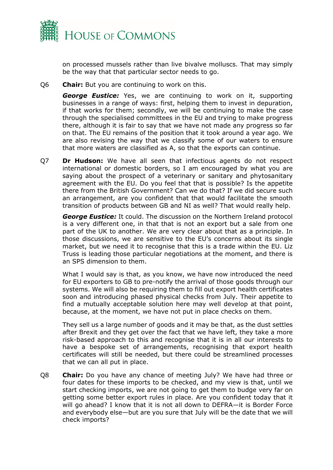

on processed mussels rather than live bivalve molluscs. That may simply be the way that that particular sector needs to go.

Q6 **Chair:** But you are continuing to work on this.

*George Eustice:* Yes, we are continuing to work on it, supporting businesses in a range of ways: first, helping them to invest in depuration, if that works for them; secondly, we will be continuing to make the case through the specialised committees in the EU and trying to make progress there, although it is fair to say that we have not made any progress so far on that. The EU remains of the position that it took around a year ago. We are also revising the way that we classify some of our waters to ensure that more waters are classified as A, so that the exports can continue.

Q7 **Dr Hudson:** We have all seen that infectious agents do not respect international or domestic borders, so I am encouraged by what you are saying about the prospect of a veterinary or sanitary and phytosanitary agreement with the EU. Do you feel that that is possible? Is the appetite there from the British Government? Can we do that? If we did secure such an arrangement, are you confident that that would facilitate the smooth transition of products between GB and NI as well? That would really help.

*George Eustice:* It could. The discussion on the Northern Ireland protocol is a very different one, in that that is not an export but a sale from one part of the UK to another. We are very clear about that as a principle. In those discussions, we are sensitive to the EU's concerns about its single market, but we need it to recognise that this is a trade within the EU. Liz Truss is leading those particular negotiations at the moment, and there is an SPS dimension to them.

What I would say is that, as you know, we have now introduced the need for EU exporters to GB to pre-notify the arrival of those goods through our systems. We will also be requiring them to fill out export health certificates soon and introducing phased physical checks from July. Their appetite to find a mutually acceptable solution here may well develop at that point, because, at the moment, we have not put in place checks on them.

They sell us a large number of goods and it may be that, as the dust settles after Brexit and they get over the fact that we have left, they take a more risk-based approach to this and recognise that it is in all our interests to have a bespoke set of arrangements, recognising that export health certificates will still be needed, but there could be streamlined processes that we can all put in place.

Q8 **Chair:** Do you have any chance of meeting July? We have had three or four dates for these imports to be checked, and my view is that, until we start checking imports, we are not going to get them to budge very far on getting some better export rules in place. Are you confident today that it will go ahead? I know that it is not all down to DEFRA—it is Border Force and everybody else—but are you sure that July will be the date that we will check imports?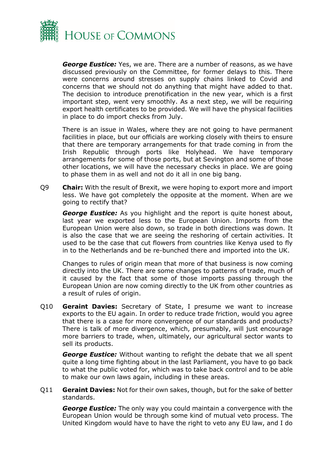

*George Eustice:* Yes, we are. There are a number of reasons, as we have discussed previously on the Committee, for former delays to this. There were concerns around stresses on supply chains linked to Covid and concerns that we should not do anything that might have added to that. The decision to introduce prenotification in the new year, which is a first important step, went very smoothly. As a next step, we will be requiring export health certificates to be provided. We will have the physical facilities in place to do import checks from July.

There is an issue in Wales, where they are not going to have permanent facilities in place, but our officials are working closely with theirs to ensure that there are temporary arrangements for that trade coming in from the Irish Republic through ports like Holyhead. We have temporary arrangements for some of those ports, but at Sevington and some of those other locations, we will have the necessary checks in place. We are going to phase them in as well and not do it all in one big bang.

Q9 **Chair:** With the result of Brexit, we were hoping to export more and import less. We have got completely the opposite at the moment. When are we going to rectify that?

*George Eustice:* As you highlight and the report is quite honest about, last year we exported less to the European Union. Imports from the European Union were also down, so trade in both directions was down. It is also the case that we are seeing the reshoring of certain activities. It used to be the case that cut flowers from countries like Kenya used to fly in to the Netherlands and be re-bunched there and imported into the UK.

Changes to rules of origin mean that more of that business is now coming directly into the UK. There are some changes to patterns of trade, much of it caused by the fact that some of those imports passing through the European Union are now coming directly to the UK from other countries as a result of rules of origin.

Q10 **Geraint Davies:** Secretary of State, I presume we want to increase exports to the EU again. In order to reduce trade friction, would you agree that there is a case for more convergence of our standards and products? There is talk of more divergence, which, presumably, will just encourage more barriers to trade, when, ultimately, our agricultural sector wants to sell its products.

*George Eustice:* Without wanting to refight the debate that we all spent quite a long time fighting about in the last Parliament, you have to go back to what the public voted for, which was to take back control and to be able to make our own laws again, including in these areas.

Q11 **Geraint Davies:** Not for their own sakes, though, but for the sake of better standards.

*George Eustice:* The only way you could maintain a convergence with the European Union would be through some kind of mutual veto process. The United Kingdom would have to have the right to veto any EU law, and I do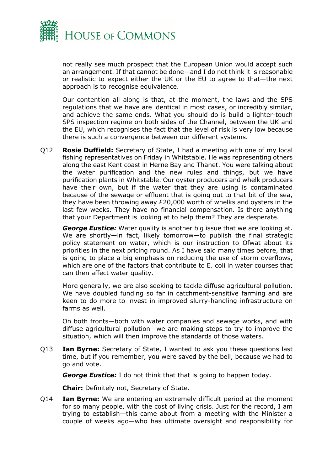

not really see much prospect that the European Union would accept such an arrangement. If that cannot be done—and I do not think it is reasonable or realistic to expect either the UK or the EU to agree to that—the next approach is to recognise equivalence.

Our contention all along is that, at the moment, the laws and the SPS regulations that we have are identical in most cases, or incredibly similar, and achieve the same ends. What you should do is build a lighter-touch SPS inspection regime on both sides of the Channel, between the UK and the EU, which recognises the fact that the level of risk is very low because there is such a convergence between our different systems.

Q12 **Rosie Duffield:** Secretary of State, I had a meeting with one of my local fishing representatives on Friday in Whitstable. He was representing others along the east Kent coast in Herne Bay and Thanet. You were talking about the water purification and the new rules and things, but we have purification plants in Whitstable. Our oyster producers and whelk producers have their own, but if the water that they are using is contaminated because of the sewage or effluent that is going out to that bit of the sea, they have been throwing away £20,000 worth of whelks and oysters in the last few weeks. They have no financial compensation. Is there anything that your Department is looking at to help them? They are desperate.

*George Eustice:* Water quality is another big issue that we are looking at. We are shortly—in fact, likely tomorrow—to publish the final strategic policy statement on water, which is our instruction to Ofwat about its priorities in the next pricing round. As I have said many times before, that is going to place a big emphasis on reducing the use of storm overflows, which are one of the factors that contribute to E. coli in water courses that can then affect water quality.

More generally, we are also seeking to tackle diffuse agricultural pollution. We have doubled funding so far in catchment-sensitive farming and are keen to do more to invest in improved slurry-handling infrastructure on farms as well.

On both fronts—both with water companies and sewage works, and with diffuse agricultural pollution—we are making steps to try to improve the situation, which will then improve the standards of those waters.

Q13 **Ian Byrne:** Secretary of State, I wanted to ask you these questions last time, but if you remember, you were saved by the bell, because we had to go and vote.

*George Eustice:* I do not think that that is going to happen today.

**Chair:** Definitely not, Secretary of State.

Q14 **Ian Byrne:** We are entering an extremely difficult period at the moment for so many people, with the cost of living crisis. Just for the record, I am trying to establish—this came about from a meeting with the Minister a couple of weeks ago—who has ultimate oversight and responsibility for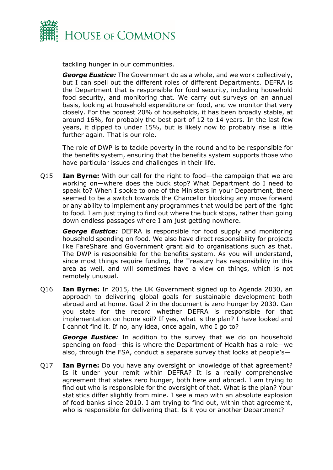

tackling hunger in our communities.

*George Eustice:* The Government do as a whole, and we work collectively, but I can spell out the different roles of different Departments. DEFRA is the Department that is responsible for food security, including household food security, and monitoring that. We carry out surveys on an annual basis, looking at household expenditure on food, and we monitor that very closely. For the poorest 20% of households, it has been broadly stable, at around 16%, for probably the best part of 12 to 14 years. In the last few years, it dipped to under 15%, but is likely now to probably rise a little further again. That is our role.

The role of DWP is to tackle poverty in the round and to be responsible for the benefits system, ensuring that the benefits system supports those who have particular issues and challenges in their life.

Q15 **Ian Byrne:** With our call for the right to food—the campaign that we are working on—where does the buck stop? What Department do I need to speak to? When I spoke to one of the Ministers in your Department, there seemed to be a switch towards the Chancellor blocking any move forward or any ability to implement any programmes that would be part of the right to food. I am just trying to find out where the buck stops, rather than going down endless passages where I am just getting nowhere.

*George Eustice:* DEFRA is responsible for food supply and monitoring household spending on food. We also have direct responsibility for projects like FareShare and Government grant aid to organisations such as that. The DWP is responsible for the benefits system. As you will understand, since most things require funding, the Treasury has responsibility in this area as well, and will sometimes have a view on things, which is not remotely unusual.

Q16 **Ian Byrne:** In 2015, the UK Government signed up to Agenda 2030, an approach to delivering global goals for sustainable development both abroad and at home. Goal 2 in the document is zero hunger by 2030. Can you state for the record whether DEFRA is responsible for that implementation on home soil? If yes, what is the plan? I have looked and I cannot find it. If no, any idea, once again, who I go to?

*George Eustice:* In addition to the survey that we do on household spending on food—this is where the Department of Health has a role—we also, through the FSA, conduct a separate survey that looks at people's—

Q17 **Ian Byrne:** Do you have any oversight or knowledge of that agreement? Is it under your remit within DEFRA? It is a really comprehensive agreement that states zero hunger, both here and abroad. I am trying to find out who is responsible for the oversight of that. What is the plan? Your statistics differ slightly from mine. I see a map with an absolute explosion of food banks since 2010. I am trying to find out, within that agreement, who is responsible for delivering that. Is it you or another Department?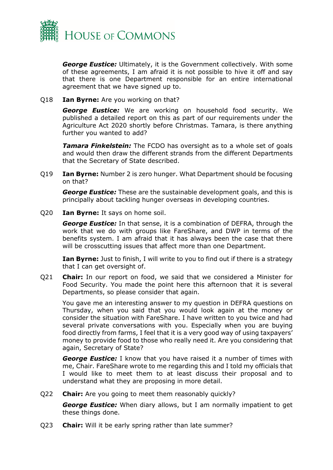

*George Eustice:* Ultimately, it is the Government collectively. With some of these agreements, I am afraid it is not possible to hive it off and say that there is one Department responsible for an entire international agreement that we have signed up to.

Q18 **Ian Byrne:** Are you working on that?

*George Eustice:* We are working on household food security. We published a detailed report on this as part of our requirements under the Agriculture Act 2020 shortly before Christmas. Tamara, is there anything further you wanted to add?

*Tamara Finkelstein:* The FCDO has oversight as to a whole set of goals and would then draw the different strands from the different Departments that the Secretary of State described.

Q19 **Ian Byrne:** Number 2 is zero hunger. What Department should be focusing on that?

*George Eustice:* These are the sustainable development goals, and this is principally about tackling hunger overseas in developing countries.

Q20 **Ian Byrne:** It says on home soil.

*George Eustice:* In that sense, it is a combination of DEFRA, through the work that we do with groups like FareShare, and DWP in terms of the benefits system. I am afraid that it has always been the case that there will be crosscutting issues that affect more than one Department.

**Ian Byrne:** Just to finish, I will write to you to find out if there is a strategy that I can get oversight of.

Q21 **Chair:** In our report on food, we said that we considered a Minister for Food Security. You made the point here this afternoon that it is several Departments, so please consider that again.

You gave me an interesting answer to my question in DEFRA questions on Thursday, when you said that you would look again at the money or consider the situation with FareShare. I have written to you twice and had several private conversations with you. Especially when you are buying food directly from farms, I feel that it is a very good way of using taxpayers' money to provide food to those who really need it. Are you considering that again, Secretary of State?

*George Eustice:* I know that you have raised it a number of times with me, Chair. FareShare wrote to me regarding this and I told my officials that I would like to meet them to at least discuss their proposal and to understand what they are proposing in more detail.

Q22 **Chair:** Are you going to meet them reasonably quickly?

*George Eustice:* When diary allows, but I am normally impatient to get these things done.

Q23 **Chair:** Will it be early spring rather than late summer?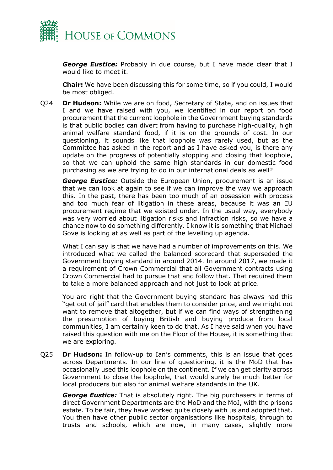

*George Eustice:* Probably in due course, but I have made clear that I would like to meet it.

**Chair:** We have been discussing this for some time, so if you could, I would be most obliged.

Q24 **Dr Hudson:** While we are on food, Secretary of State, and on issues that I and we have raised with you, we identified in our report on food procurement that the current loophole in the Government buying standards is that public bodies can divert from having to purchase high-quality, high animal welfare standard food, if it is on the grounds of cost. In our questioning, it sounds like that loophole was rarely used, but as the Committee has asked in the report and as I have asked you, is there any update on the progress of potentially stopping and closing that loophole, so that we can uphold the same high standards in our domestic food purchasing as we are trying to do in our international deals as well?

*George Eustice:* Outside the European Union, procurement is an issue that we can look at again to see if we can improve the way we approach this. In the past, there has been too much of an obsession with process and too much fear of litigation in these areas, because it was an EU procurement regime that we existed under. In the usual way, everybody was very worried about litigation risks and infraction risks, so we have a chance now to do something differently. I know it is something that Michael Gove is looking at as well as part of the levelling up agenda.

What I can say is that we have had a number of improvements on this. We introduced what we called the balanced scorecard that superseded the Government buying standard in around 2014. In around 2017, we made it a requirement of Crown Commercial that all Government contracts using Crown Commercial had to pursue that and follow that. That required them to take a more balanced approach and not just to look at price.

You are right that the Government buying standard has always had this "get out of jail" card that enables them to consider price, and we might not want to remove that altogether, but if we can find ways of strengthening the presumption of buying British and buying produce from local communities, I am certainly keen to do that. As I have said when you have raised this question with me on the Floor of the House, it is something that we are exploring.

Q25 **Dr Hudson:** In follow-up to Ian's comments, this is an issue that goes across Departments. In our line of questioning, it is the MoD that has occasionally used this loophole on the continent. If we can get clarity across Government to close the loophole, that would surely be much better for local producers but also for animal welfare standards in the UK.

*George Eustice:* That is absolutely right. The big purchasers in terms of direct Government Departments are the MoD and the MoJ, with the prisons estate. To be fair, they have worked quite closely with us and adopted that. You then have other public sector organisations like hospitals, through to trusts and schools, which are now, in many cases, slightly more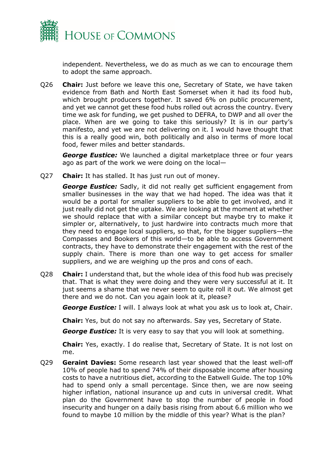

independent. Nevertheless, we do as much as we can to encourage them to adopt the same approach.

Q26 **Chair:** Just before we leave this one, Secretary of State, we have taken evidence from Bath and North East Somerset when it had its food hub, which brought producers together. It saved 6% on public procurement, and yet we cannot get these food hubs rolled out across the country. Every time we ask for funding, we get pushed to DEFRA, to DWP and all over the place. When are we going to take this seriously? It is in our party's manifesto, and yet we are not delivering on it. I would have thought that this is a really good win, both politically and also in terms of more local food, fewer miles and better standards.

*George Eustice:* We launched a digital marketplace three or four years ago as part of the work we were doing on the local—

Q27 **Chair:** It has stalled. It has just run out of money.

*George Eustice:* Sadly, it did not really get sufficient engagement from smaller businesses in the way that we had hoped. The idea was that it would be a portal for smaller suppliers to be able to get involved, and it just really did not get the uptake. We are looking at the moment at whether we should replace that with a similar concept but maybe try to make it simpler or, alternatively, to just hardwire into contracts much more that they need to engage local suppliers, so that, for the bigger suppliers—the Compasses and Bookers of this world—to be able to access Government contracts, they have to demonstrate their engagement with the rest of the supply chain. There is more than one way to get access for smaller suppliers, and we are weighing up the pros and cons of each.

Q28 **Chair:** I understand that, but the whole idea of this food hub was precisely that. That is what they were doing and they were very successful at it. It just seems a shame that we never seem to quite roll it out. We almost get there and we do not. Can you again look at it, please?

*George Eustice:* I will. I always look at what you ask us to look at, Chair.

**Chair:** Yes, but do not say no afterwards. Say yes, Secretary of State.

*George Eustice:* It is very easy to say that you will look at something.

**Chair:** Yes, exactly. I do realise that, Secretary of State. It is not lost on me.

Q29 **Geraint Davies:** Some research last year showed that the least well-off 10% of people had to spend 74% of their disposable income after housing costs to have a nutritious diet, according to the Eatwell Guide. The top 10% had to spend only a small percentage. Since then, we are now seeing higher inflation, national insurance up and cuts in universal credit. What plan do the Government have to stop the number of people in food insecurity and hunger on a daily basis rising from about 6.6 million who we found to maybe 10 million by the middle of this year? What is the plan?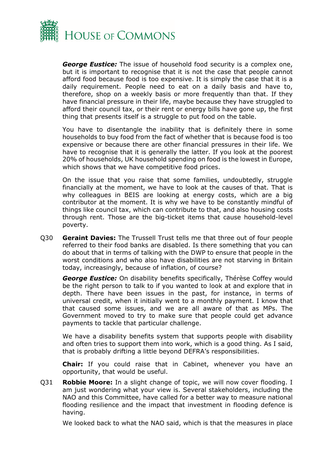

*George Eustice:* The issue of household food security is a complex one, but it is important to recognise that it is not the case that people cannot afford food because food is too expensive. It is simply the case that it is a daily requirement. People need to eat on a daily basis and have to, therefore, shop on a weekly basis or more frequently than that. If they have financial pressure in their life, maybe because they have struggled to afford their council tax, or their rent or energy bills have gone up, the first thing that presents itself is a struggle to put food on the table.

You have to disentangle the inability that is definitely there in some households to buy food from the fact of whether that is because food is too expensive or because there are other financial pressures in their life. We have to recognise that it is generally the latter. If you look at the poorest 20% of households, UK household spending on food is the lowest in Europe, which shows that we have competitive food prices.

On the issue that you raise that some families, undoubtedly, struggle financially at the moment, we have to look at the causes of that. That is why colleagues in BEIS are looking at energy costs, which are a big contributor at the moment. It is why we have to be constantly mindful of things like council tax, which can contribute to that, and also housing costs through rent. Those are the big-ticket items that cause household-level poverty.

Q30 **Geraint Davies:** The Trussell Trust tells me that three out of four people referred to their food banks are disabled. Is there something that you can do about that in terms of talking with the DWP to ensure that people in the worst conditions and who also have disabilities are not starving in Britain today, increasingly, because of inflation, of course?

*George Eustice:* On disability benefits specifically, Thérèse Coffey would be the right person to talk to if you wanted to look at and explore that in depth. There have been issues in the past, for instance, in terms of universal credit, when it initially went to a monthly payment. I know that that caused some issues, and we are all aware of that as MPs. The Government moved to try to make sure that people could get advance payments to tackle that particular challenge.

We have a disability benefits system that supports people with disability and often tries to support them into work, which is a good thing. As I said, that is probably drifting a little beyond DEFRA's responsibilities.

**Chair:** If you could raise that in Cabinet, whenever you have an opportunity, that would be useful.

Q31 **Robbie Moore:** In a slight change of topic, we will now cover flooding. I am just wondering what your view is. Several stakeholders, including the NAO and this Committee, have called for a better way to measure national flooding resilience and the impact that investment in flooding defence is having.

We looked back to what the NAO said, which is that the measures in place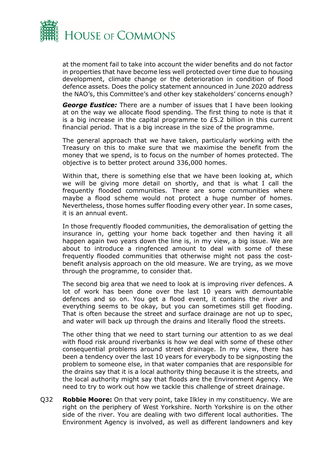

at the moment fail to take into account the wider benefits and do not factor in properties that have become less well protected over time due to housing development, climate change or the deterioration in condition of flood defence assets. Does the policy statement announced in June 2020 address the NAO's, this Committee's and other key stakeholders' concerns enough?

*George Eustice:* There are a number of issues that I have been looking at on the way we allocate flood spending. The first thing to note is that it is a big increase in the capital programme to £5.2 billion in this current financial period. That is a big increase in the size of the programme.

The general approach that we have taken, particularly working with the Treasury on this to make sure that we maximise the benefit from the money that we spend, is to focus on the number of homes protected. The objective is to better protect around 336,000 homes.

Within that, there is something else that we have been looking at, which we will be giving more detail on shortly, and that is what I call the frequently flooded communities. There are some communities where maybe a flood scheme would not protect a huge number of homes. Nevertheless, those homes suffer flooding every other year. In some cases, it is an annual event.

In those frequently flooded communities, the demoralisation of getting the insurance in, getting your home back together and then having it all happen again two years down the line is, in my view, a big issue. We are about to introduce a ringfenced amount to deal with some of these frequently flooded communities that otherwise might not pass the costbenefit analysis approach on the old measure. We are trying, as we move through the programme, to consider that.

The second big area that we need to look at is improving river defences. A lot of work has been done over the last 10 years with demountable defences and so on. You get a flood event, it contains the river and everything seems to be okay, but you can sometimes still get flooding. That is often because the street and surface drainage are not up to spec, and water will back up through the drains and literally flood the streets.

The other thing that we need to start turning our attention to as we deal with flood risk around riverbanks is how we deal with some of these other consequential problems around street drainage. In my view, there has been a tendency over the last 10 years for everybody to be signposting the problem to someone else, in that water companies that are responsible for the drains say that it is a local authority thing because it is the streets, and the local authority might say that floods are the Environment Agency. We need to try to work out how we tackle this challenge of street drainage.

Q32 **Robbie Moore:** On that very point, take Ilkley in my constituency. We are right on the periphery of West Yorkshire. North Yorkshire is on the other side of the river. You are dealing with two different local authorities. The Environment Agency is involved, as well as different landowners and key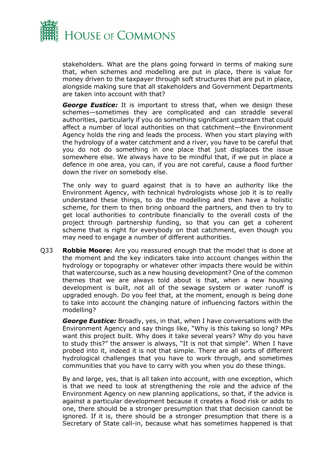

stakeholders. What are the plans going forward in terms of making sure that, when schemes and modelling are put in place, there is value for money driven to the taxpayer through soft structures that are put in place, alongside making sure that all stakeholders and Government Departments are taken into account with that?

*George Eustice:* It is important to stress that, when we design these schemes—sometimes they are complicated and can straddle several authorities, particularly if you do something significant upstream that could affect a number of local authorities on that catchment—the Environment Agency holds the ring and leads the process. When you start playing with the hydrology of a water catchment and a river, you have to be careful that you do not do something in one place that just displaces the issue somewhere else. We always have to be mindful that, if we put in place a defence in one area, you can, if you are not careful, cause a flood further down the river on somebody else.

The only way to guard against that is to have an authority like the Environment Agency, with technical hydrologists whose job it is to really understand these things, to do the modelling and then have a holistic scheme, for them to then bring onboard the partners, and then to try to get local authorities to contribute financially to the overall costs of the project through partnership funding, so that you can get a coherent scheme that is right for everybody on that catchment, even though you may need to engage a number of different authorities.

Q33 **Robbie Moore:** Are you reassured enough that the model that is done at the moment and the key indicators take into account changes within the hydrology or topography or whatever other impacts there would be within that watercourse, such as a new housing development? One of the common themes that we are always told about is that, when a new housing development is built, not all of the sewage system or water runoff is upgraded enough. Do you feel that, at the moment, enough is being done to take into account the changing nature of influencing factors within the modelling?

*George Eustice:* Broadly, yes, in that, when I have conversations with the Environment Agency and say things like, "Why is this taking so long? MPs want this project built. Why does it take several years? Why do you have to study this?" the answer is always, "It is not that simple". When I have probed into it, indeed it is not that simple. There are all sorts of different hydrological challenges that you have to work through, and sometimes communities that you have to carry with you when you do these things.

By and large, yes, that is all taken into account, with one exception, which is that we need to look at strengthening the role and the advice of the Environment Agency on new planning applications, so that, if the advice is against a particular development because it creates a flood risk or adds to one, there should be a stronger presumption that that decision cannot be ignored. If it is, there should be a stronger presumption that there is a Secretary of State call-in, because what has sometimes happened is that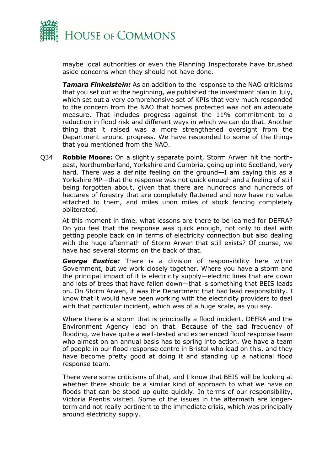

maybe local authorities or even the Planning Inspectorate have brushed aside concerns when they should not have done.

*Tamara Finkelstein:* As an addition to the response to the NAO criticisms that you set out at the beginning, we published the investment plan in July, which set out a very comprehensive set of KPIs that very much responded to the concern from the NAO that homes protected was not an adequate measure. That includes progress against the 11% commitment to a reduction in flood risk and different ways in which we can do that. Another thing that it raised was a more strengthened oversight from the Department around progress. We have responded to some of the things that you mentioned from the NAO.

Q34 **Robbie Moore:** On a slightly separate point, Storm Arwen hit the northeast, Northumberland, Yorkshire and Cumbria, going up into Scotland, very hard. There was a definite feeling on the ground—I am saying this as a Yorkshire MP—that the response was not quick enough and a feeling of still being forgotten about, given that there are hundreds and hundreds of hectares of forestry that are completely flattened and now have no value attached to them, and miles upon miles of stock fencing completely obliterated.

At this moment in time, what lessons are there to be learned for DEFRA? Do you feel that the response was quick enough, not only to deal with getting people back on in terms of electricity connection but also dealing with the huge aftermath of Storm Arwen that still exists? Of course, we have had several storms on the back of that.

*George Eustice:* There is a division of responsibility here within Government, but we work closely together. Where you have a storm and the principal impact of it is electricity supply—electric lines that are down and lots of trees that have fallen down—that is something that BEIS leads on. On Storm Arwen, it was the Department that had lead responsibility. I know that it would have been working with the electricity providers to deal with that particular incident, which was of a huge scale, as you say.

Where there is a storm that is principally a flood incident, DEFRA and the Environment Agency lead on that. Because of the sad frequency of flooding, we have quite a well-tested and experienced flood response team who almost on an annual basis has to spring into action. We have a team of people in our flood response centre in Bristol who lead on this, and they have become pretty good at doing it and standing up a national flood response team.

There were some criticisms of that, and I know that BEIS will be looking at whether there should be a similar kind of approach to what we have on floods that can be stood up quite quickly. In terms of our responsibility, Victoria Prentis visited. Some of the issues in the aftermath are longerterm and not really pertinent to the immediate crisis, which was principally around electricity supply.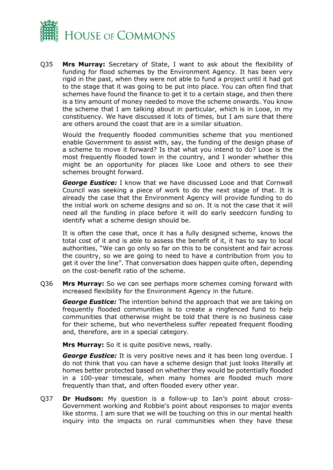

Q35 **Mrs Murray:** Secretary of State, I want to ask about the flexibility of funding for flood schemes by the Environment Agency. It has been very rigid in the past, when they were not able to fund a project until it had got to the stage that it was going to be put into place. You can often find that schemes have found the finance to get it to a certain stage, and then there is a tiny amount of money needed to move the scheme onwards. You know the scheme that I am talking about in particular, which is in Looe, in my constituency. We have discussed it lots of times, but I am sure that there are others around the coast that are in a similar situation.

Would the frequently flooded communities scheme that you mentioned enable Government to assist with, say, the funding of the design phase of a scheme to move it forward? Is that what you intend to do? Looe is the most frequently flooded town in the country, and I wonder whether this might be an opportunity for places like Looe and others to see their schemes brought forward.

*George Eustice:* I know that we have discussed Looe and that Cornwall Council was seeking a piece of work to do the next stage of that. It is already the case that the Environment Agency will provide funding to do the initial work on scheme designs and so on. It is not the case that it will need all the funding in place before it will do early seedcorn funding to identify what a scheme design should be.

It is often the case that, once it has a fully designed scheme, knows the total cost of it and is able to assess the benefit of it, it has to say to local authorities, "We can go only so far on this to be consistent and fair across the country, so we are going to need to have a contribution from you to get it over the line". That conversation does happen quite often, depending on the cost-benefit ratio of the scheme.

Q36 **Mrs Murray:** So we can see perhaps more schemes coming forward with increased flexibility for the Environment Agency in the future.

*George Eustice:* The intention behind the approach that we are taking on frequently flooded communities is to create a ringfenced fund to help communities that otherwise might be told that there is no business case for their scheme, but who nevertheless suffer repeated frequent flooding and, therefore, are in a special category.

**Mrs Murray:** So it is quite positive news, really.

*George Eustice:* It is very positive news and it has been long overdue. I do not think that you can have a scheme design that just looks literally at homes better protected based on whether they would be potentially flooded in a 100-year timescale, when many homes are flooded much more frequently than that, and often flooded every other year.

Q37 **Dr Hudson:** My question is a follow-up to Ian's point about cross-Government working and Robbie's point about responses to major events like storms. I am sure that we will be touching on this in our mental health inquiry into the impacts on rural communities when they have these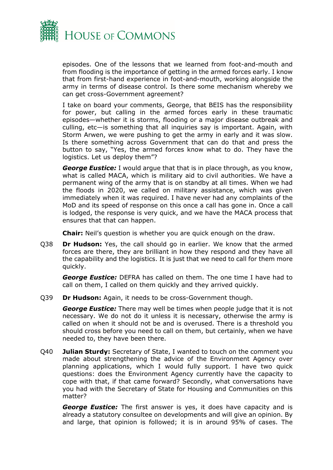

episodes. One of the lessons that we learned from foot-and-mouth and from flooding is the importance of getting in the armed forces early. I know that from first-hand experience in foot-and-mouth, working alongside the army in terms of disease control. Is there some mechanism whereby we can get cross-Government agreement?

I take on board your comments, George, that BEIS has the responsibility for power, but calling in the armed forces early in these traumatic episodes—whether it is storms, flooding or a major disease outbreak and culling, etc—is something that all inquiries say is important. Again, with Storm Arwen, we were pushing to get the army in early and it was slow. Is there something across Government that can do that and press the button to say, "Yes, the armed forces know what to do. They have the logistics. Let us deploy them"?

*George Eustice:* I would argue that that is in place through, as you know, what is called MACA, which is military aid to civil authorities. We have a permanent wing of the army that is on standby at all times. When we had the floods in 2020, we called on military assistance, which was given immediately when it was required. I have never had any complaints of the MoD and its speed of response on this once a call has gone in. Once a call is lodged, the response is very quick, and we have the MACA process that ensures that that can happen.

**Chair:** Neil's question is whether you are quick enough on the draw.

Q38 **Dr Hudson:** Yes, the call should go in earlier. We know that the armed forces are there, they are brilliant in how they respond and they have all the capability and the logistics. It is just that we need to call for them more quickly.

*George Eustice:* DEFRA has called on them. The one time I have had to call on them, I called on them quickly and they arrived quickly.

Q39 **Dr Hudson:** Again, it needs to be cross-Government though.

*George Eustice:* There may well be times when people judge that it is not necessary. We do not do it unless it is necessary, otherwise the army is called on when it should not be and is overused. There is a threshold you should cross before you need to call on them, but certainly, when we have needed to, they have been there.

Q40 **Julian Sturdy:** Secretary of State, I wanted to touch on the comment you made about strengthening the advice of the Environment Agency over planning applications, which I would fully support. I have two quick questions: does the Environment Agency currently have the capacity to cope with that, if that came forward? Secondly, what conversations have you had with the Secretary of State for Housing and Communities on this matter?

*George Eustice:* The first answer is yes, it does have capacity and is already a statutory consultee on developments and will give an opinion. By and large, that opinion is followed; it is in around 95% of cases. The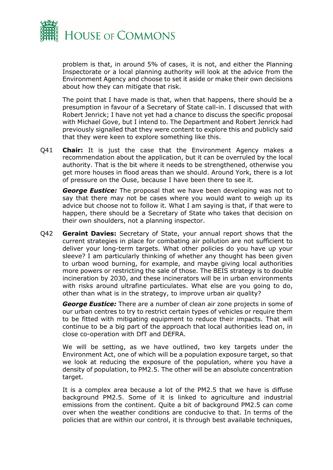

problem is that, in around 5% of cases, it is not, and either the Planning Inspectorate or a local planning authority will look at the advice from the Environment Agency and choose to set it aside or make their own decisions about how they can mitigate that risk.

The point that I have made is that, when that happens, there should be a presumption in favour of a Secretary of State call-in. I discussed that with Robert Jenrick; I have not yet had a chance to discuss the specific proposal with Michael Gove, but I intend to. The Department and Robert Jenrick had previously signalled that they were content to explore this and publicly said that they were keen to explore something like this.

Q41 **Chair:** It is just the case that the Environment Agency makes a recommendation about the application, but it can be overruled by the local authority. That is the bit where it needs to be strengthened, otherwise you get more houses in flood areas than we should. Around York, there is a lot of pressure on the Ouse, because I have been there to see it.

*George Eustice:* The proposal that we have been developing was not to say that there may not be cases where you would want to weigh up its advice but choose not to follow it. What I am saying is that, if that were to happen, there should be a Secretary of State who takes that decision on their own shoulders, not a planning inspector.

Q42 **Geraint Davies:** Secretary of State, your annual report shows that the current strategies in place for combating air pollution are not sufficient to deliver your long-term targets. What other policies do you have up your sleeve? I am particularly thinking of whether any thought has been given to urban wood burning, for example, and maybe giving local authorities more powers or restricting the sale of those. The BEIS strategy is to double incineration by 2030, and these incinerators will be in urban environments with risks around ultrafine particulates. What else are you going to do, other than what is in the strategy, to improve urban air quality?

*George Eustice:* There are a number of clean air zone projects in some of our urban centres to try to restrict certain types of vehicles or require them to be fitted with mitigating equipment to reduce their impacts. That will continue to be a big part of the approach that local authorities lead on, in close co-operation with DfT and DEFRA.

We will be setting, as we have outlined, two key targets under the Environment Act, one of which will be a population exposure target, so that we look at reducing the exposure of the population, where you have a density of population, to PM2.5. The other will be an absolute concentration target.

It is a complex area because a lot of the PM2.5 that we have is diffuse background PM2.5. Some of it is linked to agriculture and industrial emissions from the continent. Quite a bit of background PM2.5 can come over when the weather conditions are conducive to that. In terms of the policies that are within our control, it is through best available techniques,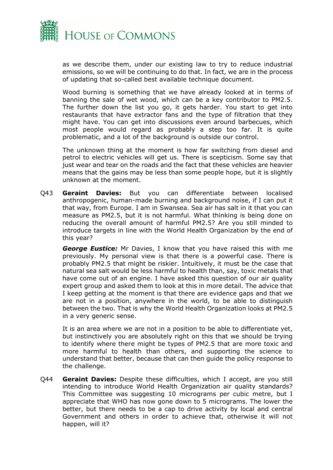

as we describe them, under our existing law to try to reduce industrial emissions, so we will be continuing to do that. In fact, we are in the process of updating that so-called best available technique document.

Wood burning is something that we have already looked at in terms of banning the sale of wet wood, which can be a key contributor to PM2.5. The further down the list you go, it gets harder. You start to get into restaurants that have extractor fans and the type of filtration that they might have. You can get into discussions even around barbecues, which most people would regard as probably a step too far. It is quite problematic, and a lot of the background is outside our control.

The unknown thing at the moment is how far switching from diesel and petrol to electric vehicles will get us. There is scepticism. Some say that just wear and tear on the roads and the fact that these vehicles are heavier means that the gains may be less than some people hope, but it is slightly unknown at the moment.

Q43 **Geraint Davies:** But you can differentiate between localised anthropogenic, human-made burning and background noise, if I can put it that way, from Europe. I am in Swansea. Sea air has salt in it that you can measure as PM2.5, but it is not harmful. What thinking is being done on reducing the overall amount of harmful PM2.5? Are you still minded to introduce targets in line with the World Health Organization by the end of this year?

*George Eustice:* Mr Davies, I know that you have raised this with me previously. My personal view is that there is a powerful case. There is probably PM2.5 that might be riskier. Intuitively, it must be the case that natural sea salt would be less harmful to health than, say, toxic metals that have come out of an engine. I have asked this question of our air quality expert group and asked them to look at this in more detail. The advice that I keep getting at the moment is that there are evidence gaps and that we are not in a position, anywhere in the world, to be able to distinguish between the two. That is why the World Health Organization looks at PM2.5 in a very generic sense.

It is an area where we are not in a position to be able to differentiate yet, but instinctively you are absolutely right on this that we should be trying to identify where there might be types of PM2.5 that are more toxic and more harmful to health than others, and supporting the science to understand that better, because that can then guide the policy response to the challenge.

Q44 **Geraint Davies:** Despite these difficulties, which I accept, are you still intending to introduce World Health Organization air quality standards? This Committee was suggesting 10 micrograms per cubic metre, but I appreciate that WHO has now gone down to 5 micrograms. The lower the better, but there needs to be a cap to drive activity by local and central Government and others in order to achieve that, otherwise it will not happen, will it?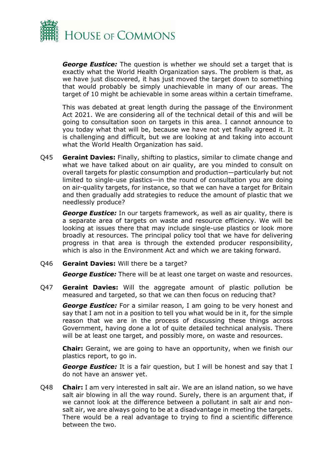

*George Eustice:* The question is whether we should set a target that is exactly what the World Health Organization says. The problem is that, as we have just discovered, it has just moved the target down to something that would probably be simply unachievable in many of our areas. The target of 10 might be achievable in some areas within a certain timeframe.

This was debated at great length during the passage of the Environment Act 2021. We are considering all of the technical detail of this and will be going to consultation soon on targets in this area. I cannot announce to you today what that will be, because we have not yet finally agreed it. It is challenging and difficult, but we are looking at and taking into account what the World Health Organization has said.

Q45 **Geraint Davies:** Finally, shifting to plastics, similar to climate change and what we have talked about on air quality, are you minded to consult on overall targets for plastic consumption and production—particularly but not limited to single-use plastics—in the round of consultation you are doing on air-quality targets, for instance, so that we can have a target for Britain and then gradually add strategies to reduce the amount of plastic that we needlessly produce?

*George Eustice:* In our targets framework, as well as air quality, there is a separate area of targets on waste and resource efficiency. We will be looking at issues there that may include single-use plastics or look more broadly at resources. The principal policy tool that we have for delivering progress in that area is through the extended producer responsibility, which is also in the Environment Act and which we are taking forward.

Q46 **Geraint Davies:** Will there be a target?

**George Eustice:** There will be at least one target on waste and resources.

Q47 **Geraint Davies:** Will the aggregate amount of plastic pollution be measured and targeted, so that we can then focus on reducing that?

*George Eustice:* For a similar reason, I am going to be very honest and say that I am not in a position to tell you what would be in it, for the simple reason that we are in the process of discussing these things across Government, having done a lot of quite detailed technical analysis. There will be at least one target, and possibly more, on waste and resources.

**Chair:** Geraint, we are going to have an opportunity, when we finish our plastics report, to go in.

**George Eustice:** It is a fair question, but I will be honest and say that I do not have an answer yet.

Q48 **Chair:** I am very interested in salt air. We are an island nation, so we have salt air blowing in all the way round. Surely, there is an argument that, if we cannot look at the difference between a pollutant in salt air and nonsalt air, we are always going to be at a disadvantage in meeting the targets. There would be a real advantage to trying to find a scientific difference between the two.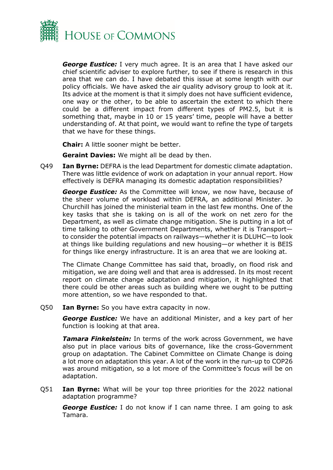

*George Eustice:* I very much agree. It is an area that I have asked our chief scientific adviser to explore further, to see if there is research in this area that we can do. I have debated this issue at some length with our policy officials. We have asked the air quality advisory group to look at it. Its advice at the moment is that it simply does not have sufficient evidence, one way or the other, to be able to ascertain the extent to which there could be a different impact from different types of PM2.5, but it is something that, maybe in 10 or 15 years' time, people will have a better understanding of. At that point, we would want to refine the type of targets that we have for these things.

**Chair:** A little sooner might be better.

**Geraint Davies:** We might all be dead by then.

Q49 **Ian Byrne:** DEFRA is the lead Department for domestic climate adaptation. There was little evidence of work on adaptation in your annual report. How effectively is DEFRA managing its domestic adaptation responsibilities?

*George Eustice:* As the Committee will know, we now have, because of the sheer volume of workload within DEFRA, an additional Minister. Jo Churchill has joined the ministerial team in the last few months. One of the key tasks that she is taking on is all of the work on net zero for the Department, as well as climate change mitigation. She is putting in a lot of time talking to other Government Departments, whether it is Transport to consider the potential impacts on railways—whether it is DLUHC—to look at things like building regulations and new housing—or whether it is BEIS for things like energy infrastructure. It is an area that we are looking at.

The Climate Change Committee has said that, broadly, on flood risk and mitigation, we are doing well and that area is addressed. In its most recent report on climate change adaptation and mitigation, it highlighted that there could be other areas such as building where we ought to be putting more attention, so we have responded to that.

Q50 **Ian Byrne:** So you have extra capacity in now.

*George Eustice:* We have an additional Minister, and a key part of her function is looking at that area.

*Tamara Finkelstein:* In terms of the work across Government, we have also put in place various bits of governance, like the cross-Government group on adaptation. The Cabinet Committee on Climate Change is doing a lot more on adaptation this year. A lot of the work in the run-up to COP26 was around mitigation, so a lot more of the Committee's focus will be on adaptation.

Q51 **Ian Byrne:** What will be your top three priorities for the 2022 national adaptation programme?

*George Eustice:* I do not know if I can name three. I am going to ask Tamara.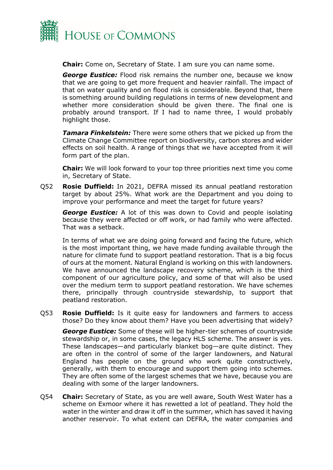

**Chair:** Come on, Secretary of State. I am sure you can name some.

*George Eustice:* Flood risk remains the number one, because we know that we are going to get more frequent and heavier rainfall. The impact of that on water quality and on flood risk is considerable. Beyond that, there is something around building regulations in terms of new development and whether more consideration should be given there. The final one is probably around transport. If I had to name three, I would probably highlight those.

*Tamara Finkelstein:* There were some others that we picked up from the Climate Change Committee report on biodiversity, carbon stores and wider effects on soil health. A range of things that we have accepted from it will form part of the plan.

**Chair:** We will look forward to your top three priorities next time you come in, Secretary of State.

Q52 **Rosie Duffield:** In 2021, DEFRA missed its annual peatland restoration target by about 25%. What work are the Department and you doing to improve your performance and meet the target for future years?

*George Eustice:* A lot of this was down to Covid and people isolating because they were affected or off work, or had family who were affected. That was a setback.

In terms of what we are doing going forward and facing the future, which is the most important thing, we have made funding available through the nature for climate fund to support peatland restoration. That is a big focus of ours at the moment. Natural England is working on this with landowners. We have announced the landscape recovery scheme, which is the third component of our agriculture policy, and some of that will also be used over the medium term to support peatland restoration. We have schemes there, principally through countryside stewardship, to support that peatland restoration.

Q53 **Rosie Duffield:** Is it quite easy for landowners and farmers to access those? Do they know about them? Have you been advertising that widely?

*George Eustice:* Some of these will be higher-tier schemes of countryside stewardship or, in some cases, the legacy HLS scheme. The answer is yes. These landscapes—and particularly blanket bog—are quite distinct. They are often in the control of some of the larger landowners, and Natural England has people on the ground who work quite constructively, generally, with them to encourage and support them going into schemes. They are often some of the largest schemes that we have, because you are dealing with some of the larger landowners.

Q54 **Chair:** Secretary of State, as you are well aware, South West Water has a scheme on Exmoor where it has rewetted a lot of peatland. They hold the water in the winter and draw it off in the summer, which has saved it having another reservoir. To what extent can DEFRA, the water companies and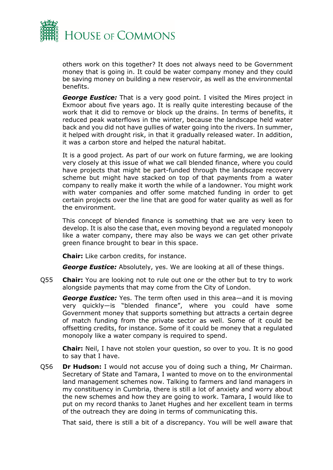

others work on this together? It does not always need to be Government money that is going in. It could be water company money and they could be saving money on building a new reservoir, as well as the environmental benefits.

*George Eustice:* That is a very good point. I visited the Mires project in Exmoor about five years ago. It is really quite interesting because of the work that it did to remove or block up the drains. In terms of benefits, it reduced peak waterflows in the winter, because the landscape held water back and you did not have gullies of water going into the rivers. In summer, it helped with drought risk, in that it gradually released water. In addition, it was a carbon store and helped the natural habitat.

It is a good project. As part of our work on future farming, we are looking very closely at this issue of what we call blended finance, where you could have projects that might be part-funded through the landscape recovery scheme but might have stacked on top of that payments from a water company to really make it worth the while of a landowner. You might work with water companies and offer some matched funding in order to get certain projects over the line that are good for water quality as well as for the environment.

This concept of blended finance is something that we are very keen to develop. It is also the case that, even moving beyond a regulated monopoly like a water company, there may also be ways we can get other private green finance brought to bear in this space.

**Chair:** Like carbon credits, for instance.

*George Eustice:* Absolutely, yes. We are looking at all of these things.

Q55 **Chair:** You are looking not to rule out one or the other but to try to work alongside payments that may come from the City of London.

*George Eustice:* Yes. The term often used in this area—and it is moving very quickly—is "blended finance", where you could have some Government money that supports something but attracts a certain degree of match funding from the private sector as well. Some of it could be offsetting credits, for instance. Some of it could be money that a regulated monopoly like a water company is required to spend.

**Chair:** Neil, I have not stolen your question, so over to you. It is no good to say that I have.

Q56 **Dr Hudson:** I would not accuse you of doing such a thing, Mr Chairman. Secretary of State and Tamara, I wanted to move on to the environmental land management schemes now. Talking to farmers and land managers in my constituency in Cumbria, there is still a lot of anxiety and worry about the new schemes and how they are going to work. Tamara, I would like to put on my record thanks to Janet Hughes and her excellent team in terms of the outreach they are doing in terms of communicating this.

That said, there is still a bit of a discrepancy. You will be well aware that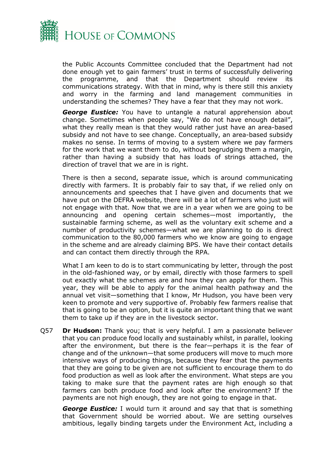

the Public Accounts Committee concluded that the Department had not done enough yet to gain farmers' trust in terms of successfully delivering the programme, and that the Department should review its communications strategy. With that in mind, why is there still this anxiety and worry in the farming and land management communities in understanding the schemes? They have a fear that they may not work.

*George Eustice:* You have to untangle a natural apprehension about change. Sometimes when people say, "We do not have enough detail", what they really mean is that they would rather just have an area-based subsidy and not have to see change. Conceptually, an area-based subsidy makes no sense. In terms of moving to a system where we pay farmers for the work that we want them to do, without begrudging them a margin, rather than having a subsidy that has loads of strings attached, the direction of travel that we are in is right.

There is then a second, separate issue, which is around communicating directly with farmers. It is probably fair to say that, if we relied only on announcements and speeches that I have given and documents that we have put on the DEFRA website, there will be a lot of farmers who just will not engage with that. Now that we are in a year when we are going to be announcing and opening certain schemes—most importantly, the sustainable farming scheme, as well as the voluntary exit scheme and a number of productivity schemes—what we are planning to do is direct communication to the 80,000 farmers who we know are going to engage in the scheme and are already claiming BPS. We have their contact details and can contact them directly through the RPA.

What I am keen to do is to start communicating by letter, through the post in the old-fashioned way, or by email, directly with those farmers to spell out exactly what the schemes are and how they can apply for them. This year, they will be able to apply for the animal health pathway and the annual vet visit—something that I know, Mr Hudson, you have been very keen to promote and very supportive of. Probably few farmers realise that that is going to be an option, but it is quite an important thing that we want them to take up if they are in the livestock sector.

Q57 **Dr Hudson:** Thank you; that is very helpful. I am a passionate believer that you can produce food locally and sustainably whilst, in parallel, looking after the environment, but there is the fear—perhaps it is the fear of change and of the unknown—that some producers will move to much more intensive ways of producing things, because they fear that the payments that they are going to be given are not sufficient to encourage them to do food production as well as look after the environment. What steps are you taking to make sure that the payment rates are high enough so that farmers can both produce food and look after the environment? If the payments are not high enough, they are not going to engage in that.

*George Eustice:* I would turn it around and say that that is something that Government should be worried about. We are setting ourselves ambitious, legally binding targets under the Environment Act, including a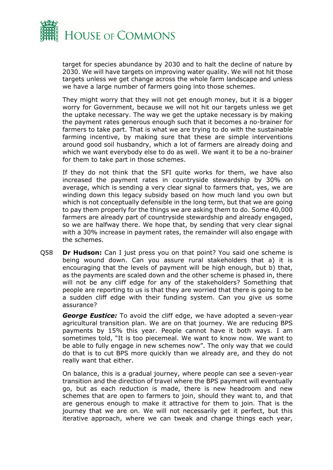

target for species abundance by 2030 and to halt the decline of nature by 2030. We will have targets on improving water quality. We will not hit those targets unless we get change across the whole farm landscape and unless we have a large number of farmers going into those schemes.

They might worry that they will not get enough money, but it is a bigger worry for Government, because we will not hit our targets unless we get the uptake necessary. The way we get the uptake necessary is by making the payment rates generous enough such that it becomes a no-brainer for farmers to take part. That is what we are trying to do with the sustainable farming incentive, by making sure that these are simple interventions around good soil husbandry, which a lot of farmers are already doing and which we want everybody else to do as well. We want it to be a no-brainer for them to take part in those schemes.

If they do not think that the SFI quite works for them, we have also increased the payment rates in countryside stewardship by 30% on average, which is sending a very clear signal to farmers that, yes, we are winding down this legacy subsidy based on how much land you own but which is not conceptually defensible in the long term, but that we are going to pay them properly for the things we are asking them to do. Some 40,000 farmers are already part of countryside stewardship and already engaged, so we are halfway there. We hope that, by sending that very clear signal with a 30% increase in payment rates, the remainder will also engage with the schemes.

Q58 **Dr Hudson:** Can I just press you on that point? You said one scheme is being wound down. Can you assure rural stakeholders that a) it is encouraging that the levels of payment will be high enough, but b) that, as the payments are scaled down and the other scheme is phased in, there will not be any cliff edge for any of the stakeholders? Something that people are reporting to us is that they are worried that there is going to be a sudden cliff edge with their funding system. Can you give us some assurance?

*George Eustice:* To avoid the cliff edge, we have adopted a seven-year agricultural transition plan. We are on that journey. We are reducing BPS payments by 15% this year. People cannot have it both ways. I am sometimes told, "It is too piecemeal. We want to know now. We want to be able to fully engage in new schemes now". The only way that we could do that is to cut BPS more quickly than we already are, and they do not really want that either.

On balance, this is a gradual journey, where people can see a seven-year transition and the direction of travel where the BPS payment will eventually go, but as each reduction is made, there is new headroom and new schemes that are open to farmers to join, should they want to, and that are generous enough to make it attractive for them to join. That is the journey that we are on. We will not necessarily get it perfect, but this iterative approach, where we can tweak and change things each year,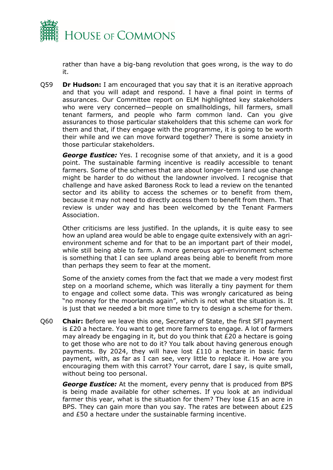

rather than have a big-bang revolution that goes wrong, is the way to do it.

Q59 **Dr Hudson:** I am encouraged that you say that it is an iterative approach and that you will adapt and respond. I have a final point in terms of assurances. Our Committee report on ELM highlighted key stakeholders who were very concerned—people on smallholdings, hill farmers, small tenant farmers, and people who farm common land. Can you give assurances to those particular stakeholders that this scheme can work for them and that, if they engage with the programme, it is going to be worth their while and we can move forward together? There is some anxiety in those particular stakeholders.

**George Eustice:** Yes. I recognise some of that anxiety, and it is a good point. The sustainable farming incentive is readily accessible to tenant farmers. Some of the schemes that are about longer-term land use change might be harder to do without the landowner involved. I recognise that challenge and have asked Baroness Rock to lead a review on the tenanted sector and its ability to access the schemes or to benefit from them, because it may not need to directly access them to benefit from them. That review is under way and has been welcomed by the Tenant Farmers Association.

Other criticisms are less justified. In the uplands, it is quite easy to see how an upland area would be able to engage quite extensively with an agrienvironment scheme and for that to be an important part of their model, while still being able to farm. A more generous agri-environment scheme is something that I can see upland areas being able to benefit from more than perhaps they seem to fear at the moment.

Some of the anxiety comes from the fact that we made a very modest first step on a moorland scheme, which was literally a tiny payment for them to engage and collect some data. This was wrongly caricatured as being "no money for the moorlands again", which is not what the situation is. It is just that we needed a bit more time to try to design a scheme for them.

Q60 **Chair:** Before we leave this one, Secretary of State, the first SFI payment is £20 a hectare. You want to get more farmers to engage. A lot of farmers may already be engaging in it, but do you think that £20 a hectare is going to get those who are not to do it? You talk about having generous enough payments. By 2024, they will have lost £110 a hectare in basic farm payment, with, as far as I can see, very little to replace it. How are you encouraging them with this carrot? Your carrot, dare I say, is quite small, without being too personal.

*George Eustice:* At the moment, every penny that is produced from BPS is being made available for other schemes. If you look at an individual farmer this year, what is the situation for them? They lose £15 an acre in BPS. They can gain more than you say. The rates are between about £25 and £50 a hectare under the sustainable farming incentive.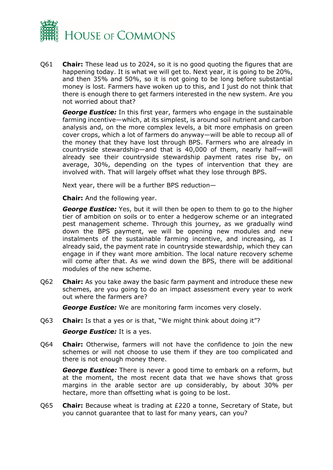

Q61 **Chair:** These lead us to 2024, so it is no good quoting the figures that are happening today. It is what we will get to. Next year, it is going to be 20%, and then 35% and 50%, so it is not going to be long before substantial money is lost. Farmers have woken up to this, and I just do not think that there is enough there to get farmers interested in the new system. Are you not worried about that?

*George Eustice:* In this first year, farmers who engage in the sustainable farming incentive—which, at its simplest, is around soil nutrient and carbon analysis and, on the more complex levels, a bit more emphasis on green cover crops, which a lot of farmers do anyway—will be able to recoup all of the money that they have lost through BPS. Farmers who are already in countryside stewardship—and that is 40,000 of them, nearly half—will already see their countryside stewardship payment rates rise by, on average, 30%, depending on the types of intervention that they are involved with. That will largely offset what they lose through BPS.

Next year, there will be a further BPS reduction—

**Chair:** And the following year.

*George Eustice:* Yes, but it will then be open to them to go to the higher tier of ambition on soils or to enter a hedgerow scheme or an integrated pest management scheme. Through this journey, as we gradually wind down the BPS payment, we will be opening new modules and new instalments of the sustainable farming incentive, and increasing, as I already said, the payment rate in countryside stewardship, which they can engage in if they want more ambition. The local nature recovery scheme will come after that. As we wind down the BPS, there will be additional modules of the new scheme.

Q62 **Chair:** As you take away the basic farm payment and introduce these new schemes, are you going to do an impact assessment every year to work out where the farmers are?

*George Eustice:* We are monitoring farm incomes very closely.

Q63 **Chair:** Is that a yes or is that, "We might think about doing it"?

*George Eustice:* It is a yes.

Q64 **Chair:** Otherwise, farmers will not have the confidence to join the new schemes or will not choose to use them if they are too complicated and there is not enough money there.

*George Eustice:* There is never a good time to embark on a reform, but at the moment, the most recent data that we have shows that gross margins in the arable sector are up considerably, by about 30% per hectare, more than offsetting what is going to be lost.

Q65 **Chair:** Because wheat is trading at £220 a tonne, Secretary of State, but you cannot guarantee that to last for many years, can you?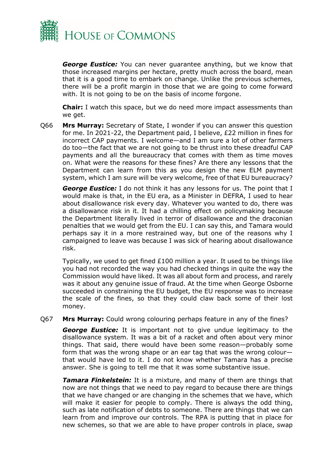

*George Eustice:* You can never guarantee anything, but we know that those increased margins per hectare, pretty much across the board, mean that it is a good time to embark on change. Unlike the previous schemes, there will be a profit margin in those that we are going to come forward with. It is not going to be on the basis of income forgone.

**Chair:** I watch this space, but we do need more impact assessments than we get.

Q66 **Mrs Murray:** Secretary of State, I wonder if you can answer this question for me. In 2021-22, the Department paid, I believe, £22 million in fines for incorrect CAP payments. I welcome—and I am sure a lot of other farmers do too—the fact that we are not going to be thrust into these dreadful CAP payments and all the bureaucracy that comes with them as time moves on. What were the reasons for these fines? Are there any lessons that the Department can learn from this as you design the new ELM payment system, which I am sure will be very welcome, free of that EU bureaucracy?

**George Eustice:** I do not think it has any lessons for us. The point that I would make is that, in the EU era, as a Minister in DEFRA, I used to hear about disallowance risk every day. Whatever you wanted to do, there was a disallowance risk in it. It had a chilling effect on policymaking because the Department literally lived in terror of disallowance and the draconian penalties that we would get from the EU. I can say this, and Tamara would perhaps say it in a more restrained way, but one of the reasons why I campaigned to leave was because I was sick of hearing about disallowance risk.

Typically, we used to get fined £100 million a year. It used to be things like you had not recorded the way you had checked things in quite the way the Commission would have liked. It was all about form and process, and rarely was it about any genuine issue of fraud. At the time when George Osborne succeeded in constraining the EU budget, the EU response was to increase the scale of the fines, so that they could claw back some of their lost money.

Q67 **Mrs Murray:** Could wrong colouring perhaps feature in any of the fines?

*George Eustice:* It is important not to give undue legitimacy to the disallowance system. It was a bit of a racket and often about very minor things. That said, there would have been some reason—probably some form that was the wrong shape or an ear tag that was the wrong colour that would have led to it. I do not know whether Tamara has a precise answer. She is going to tell me that it was some substantive issue.

*Tamara Finkelstein:* It is a mixture, and many of them are things that now are not things that we need to pay regard to because there are things that we have changed or are changing in the schemes that we have, which will make it easier for people to comply. There is always the odd thing, such as late notification of debts to someone. There are things that we can learn from and improve our controls. The RPA is putting that in place for new schemes, so that we are able to have proper controls in place, swap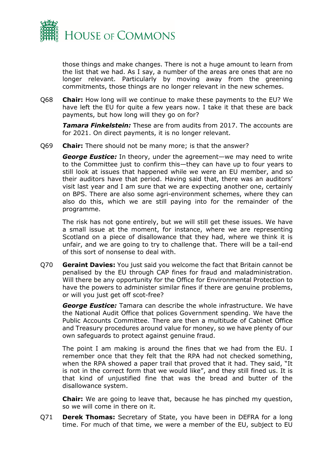

those things and make changes. There is not a huge amount to learn from the list that we had. As I say, a number of the areas are ones that are no longer relevant. Particularly by moving away from the greening commitments, those things are no longer relevant in the new schemes.

Q68 **Chair:** How long will we continue to make these payments to the EU? We have left the EU for quite a few years now. I take it that these are back payments, but how long will they go on for?

*Tamara Finkelstein:* These are from audits from 2017. The accounts are for 2021. On direct payments, it is no longer relevant.

Q69 **Chair:** There should not be many more; is that the answer?

*George Eustice:* In theory, under the agreement—we may need to write to the Committee just to confirm this—they can have up to four years to still look at issues that happened while we were an EU member, and so their auditors have that period. Having said that, there was an auditors' visit last year and I am sure that we are expecting another one, certainly on BPS. There are also some agri-environment schemes, where they can also do this, which we are still paying into for the remainder of the programme.

The risk has not gone entirely, but we will still get these issues. We have a small issue at the moment, for instance, where we are representing Scotland on a piece of disallowance that they had, where we think it is unfair, and we are going to try to challenge that. There will be a tail-end of this sort of nonsense to deal with.

Q70 **Geraint Davies:** You just said you welcome the fact that Britain cannot be penalised by the EU through CAP fines for fraud and maladministration. Will there be any opportunity for the Office for Environmental Protection to have the powers to administer similar fines if there are genuine problems, or will you just get off scot-free?

*George Eustice:* Tamara can describe the whole infrastructure. We have the National Audit Office that polices Government spending. We have the Public Accounts Committee. There are then a multitude of Cabinet Office and Treasury procedures around value for money, so we have plenty of our own safeguards to protect against genuine fraud.

The point I am making is around the fines that we had from the EU. I remember once that they felt that the RPA had not checked something, when the RPA showed a paper trail that proved that it had. They said, "It is not in the correct form that we would like", and they still fined us. It is that kind of unjustified fine that was the bread and butter of the disallowance system.

**Chair:** We are going to leave that, because he has pinched my question, so we will come in there on it.

Q71 **Derek Thomas:** Secretary of State, you have been in DEFRA for a long time. For much of that time, we were a member of the EU, subject to EU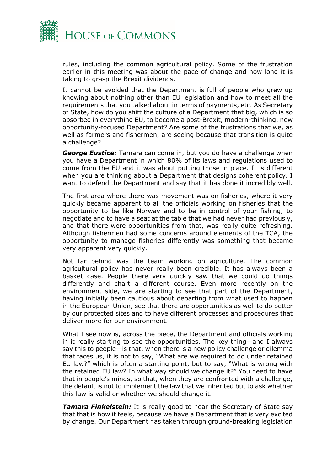

rules, including the common agricultural policy. Some of the frustration earlier in this meeting was about the pace of change and how long it is taking to grasp the Brexit dividends.

It cannot be avoided that the Department is full of people who grew up knowing about nothing other than EU legislation and how to meet all the requirements that you talked about in terms of payments, etc. As Secretary of State, how do you shift the culture of a Department that big, which is so absorbed in everything EU, to become a post-Brexit, modern-thinking, new opportunity-focused Department? Are some of the frustrations that we, as well as farmers and fishermen, are seeing because that transition is quite a challenge?

*George Eustice:* Tamara can come in, but you do have a challenge when you have a Department in which 80% of its laws and regulations used to come from the EU and it was about putting those in place. It is different when you are thinking about a Department that designs coherent policy. I want to defend the Department and say that it has done it incredibly well.

The first area where there was movement was on fisheries, where it very quickly became apparent to all the officials working on fisheries that the opportunity to be like Norway and to be in control of your fishing, to negotiate and to have a seat at the table that we had never had previously, and that there were opportunities from that, was really quite refreshing. Although fishermen had some concerns around elements of the TCA, the opportunity to manage fisheries differently was something that became very apparent very quickly.

Not far behind was the team working on agriculture. The common agricultural policy has never really been credible. It has always been a basket case. People there very quickly saw that we could do things differently and chart a different course. Even more recently on the environment side, we are starting to see that part of the Department, having initially been cautious about departing from what used to happen in the European Union, see that there are opportunities as well to do better by our protected sites and to have different processes and procedures that deliver more for our environment.

What I see now is, across the piece, the Department and officials working in it really starting to see the opportunities. The key thing—and I always say this to people—is that, when there is a new policy challenge or dilemma that faces us, it is not to say, "What are we required to do under retained EU law?" which is often a starting point, but to say, "What is wrong with the retained EU law? In what way should we change it?" You need to have that in people's minds, so that, when they are confronted with a challenge, the default is not to implement the law that we inherited but to ask whether this law is valid or whether we should change it.

*Tamara Finkelstein:* It is really good to hear the Secretary of State say that that is how it feels, because we have a Department that is very excited by change. Our Department has taken through ground-breaking legislation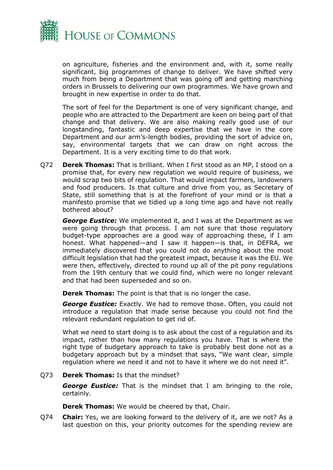

on agriculture, fisheries and the environment and, with it, some really significant, big programmes of change to deliver. We have shifted very much from being a Department that was going off and getting marching orders in Brussels to delivering our own programmes. We have grown and brought in new expertise in order to do that.

The sort of feel for the Department is one of very significant change, and people who are attracted to the Department are keen on being part of that change and that delivery. We are also making really good use of our longstanding, fantastic and deep expertise that we have in the core Department and our arm's-length bodies, providing the sort of advice on, say, environmental targets that we can draw on right across the Department. It is a very exciting time to do that work.

Q72 **Derek Thomas:** That is brilliant. When I first stood as an MP, I stood on a promise that, for every new regulation we would require of business, we would scrap two bits of regulation. That would impact farmers, landowners and food producers. Is that culture and drive from you, as Secretary of State, still something that is at the forefront of your mind or is that a manifesto promise that we tidied up a long time ago and have not really bothered about?

*George Eustice:* We implemented it, and I was at the Department as we were going through that process. I am not sure that those regulatory budget-type approaches are a good way of approaching these, if I am honest. What happened—and I saw it happen—is that, in DEFRA, we immediately discovered that you could not do anything about the most difficult legislation that had the greatest impact, because it was the EU. We were then, effectively, directed to round up all of the pit pony regulations from the 19th century that we could find, which were no longer relevant and that had been superseded and so on.

**Derek Thomas:** The point is that that is no longer the case.

*George Eustice:* Exactly. We had to remove those. Often, you could not introduce a regulation that made sense because you could not find the relevant redundant regulation to get rid of.

What we need to start doing is to ask about the cost of a regulation and its impact, rather than how many regulations you have. That is where the right type of budgetary approach to take is probably best done not as a budgetary approach but by a mindset that says, "We want clear, simple regulation where we need it and not to have it where we do not need it".

#### Q73 **Derek Thomas:** Is that the mindset?

*George Eustice:* That is the mindset that I am bringing to the role, certainly.

**Derek Thomas:** We would be cheered by that, Chair.

Q74 **Chair:** Yes, we are looking forward to the delivery of it, are we not? As a last question on this, your priority outcomes for the spending review are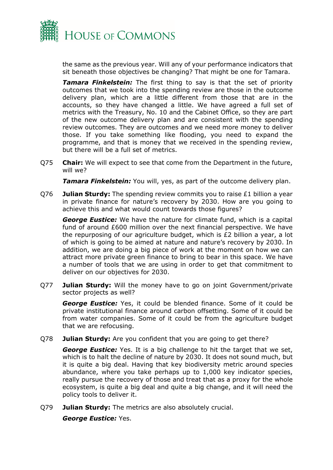

the same as the previous year. Will any of your performance indicators that sit beneath those objectives be changing? That might be one for Tamara.

*Tamara Finkelstein:* The first thing to say is that the set of priority outcomes that we took into the spending review are those in the outcome delivery plan, which are a little different from those that are in the accounts, so they have changed a little. We have agreed a full set of metrics with the Treasury, No. 10 and the Cabinet Office, so they are part of the new outcome delivery plan and are consistent with the spending review outcomes. They are outcomes and we need more money to deliver those. If you take something like flooding, you need to expand the programme, and that is money that we received in the spending review, but there will be a full set of metrics.

Q75 **Chair:** We will expect to see that come from the Department in the future, will we?

*Tamara Finkelstein:* You will, yes, as part of the outcome delivery plan.

Q76 **Julian Sturdy:** The spending review commits you to raise £1 billion a year in private finance for nature's recovery by 2030. How are you going to achieve this and what would count towards those figures?

*George Eustice:* We have the nature for climate fund, which is a capital fund of around £600 million over the next financial perspective. We have the repurposing of our agriculture budget, which is £2 billion a year, a lot of which is going to be aimed at nature and nature's recovery by 2030. In addition, we are doing a big piece of work at the moment on how we can attract more private green finance to bring to bear in this space. We have a number of tools that we are using in order to get that commitment to deliver on our objectives for 2030.

Q77 **Julian Sturdy:** Will the money have to go on joint Government/private sector projects as well?

*George Eustice:* Yes, it could be blended finance. Some of it could be private institutional finance around carbon offsetting. Some of it could be from water companies. Some of it could be from the agriculture budget that we are refocusing.

Q78 **Julian Sturdy:** Are you confident that you are going to get there?

*George Eustice:* Yes. It is a big challenge to hit the target that we set, which is to halt the decline of nature by 2030. It does not sound much, but it is quite a big deal. Having that key biodiversity metric around species abundance, where you take perhaps up to 1,000 key indicator species, really pursue the recovery of those and treat that as a proxy for the whole ecosystem, is quite a big deal and quite a big change, and it will need the policy tools to deliver it.

Q79 **Julian Sturdy:** The metrics are also absolutely crucial.

*George Eustice:* Yes.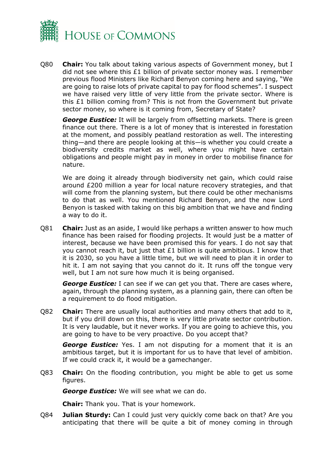

Q80 **Chair:** You talk about taking various aspects of Government money, but I did not see where this  $£1$  billion of private sector money was. I remember previous flood Ministers like Richard Benyon coming here and saying, "We are going to raise lots of private capital to pay for flood schemes". I suspect we have raised very little of very little from the private sector. Where is this £1 billion coming from? This is not from the Government but private sector money, so where is it coming from, Secretary of State?

*George Eustice:* It will be largely from offsetting markets. There is green finance out there. There is a lot of money that is interested in forestation at the moment, and possibly peatland restoration as well. The interesting thing—and there are people looking at this—is whether you could create a biodiversity credits market as well, where you might have certain obligations and people might pay in money in order to mobilise finance for nature.

We are doing it already through biodiversity net gain, which could raise around £200 million a year for local nature recovery strategies, and that will come from the planning system, but there could be other mechanisms to do that as well. You mentioned Richard Benyon, and the now Lord Benyon is tasked with taking on this big ambition that we have and finding a way to do it.

Q81 **Chair:** Just as an aside, I would like perhaps a written answer to how much finance has been raised for flooding projects. It would just be a matter of interest, because we have been promised this for years. I do not say that you cannot reach it, but just that £1 billion is quite ambitious. I know that it is 2030, so you have a little time, but we will need to plan it in order to hit it. I am not saying that you cannot do it. It runs off the tongue very well, but I am not sure how much it is being organised.

*George Eustice:* I can see if we can get you that. There are cases where, again, through the planning system, as a planning gain, there can often be a requirement to do flood mitigation.

Q82 **Chair:** There are usually local authorities and many others that add to it, but if you drill down on this, there is very little private sector contribution. It is very laudable, but it never works. If you are going to achieve this, you are going to have to be very proactive. Do you accept that?

*George Eustice:* Yes. I am not disputing for a moment that it is an ambitious target, but it is important for us to have that level of ambition. If we could crack it, it would be a gamechanger.

Q83 **Chair:** On the flooding contribution, you might be able to get us some figures.

*George Eustice:* We will see what we can do.

**Chair:** Thank you. That is your homework.

Q84 **Julian Sturdy:** Can I could just very quickly come back on that? Are you anticipating that there will be quite a bit of money coming in through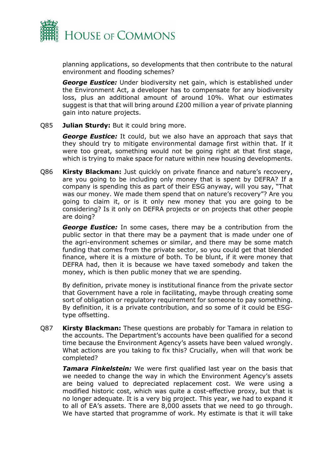

planning applications, so developments that then contribute to the natural environment and flooding schemes?

*George Eustice:* Under biodiversity net gain, which is established under the Environment Act, a developer has to compensate for any biodiversity loss, plus an additional amount of around 10%. What our estimates suggest is that that will bring around £200 million a year of private planning gain into nature projects.

#### Q85 **Julian Sturdy:** But it could bring more.

*George Eustice:* It could, but we also have an approach that says that they should try to mitigate environmental damage first within that. If it were too great, something would not be going right at that first stage, which is trying to make space for nature within new housing developments.

Q86 **Kirsty Blackman:** Just quickly on private finance and nature's recovery, are you going to be including only money that is spent by DEFRA? If a company is spending this as part of their ESG anyway, will you say, "That was our money. We made them spend that on nature's recovery"? Are you going to claim it, or is it only new money that you are going to be considering? Is it only on DEFRA projects or on projects that other people are doing?

*George Eustice:* In some cases, there may be a contribution from the public sector in that there may be a payment that is made under one of the agri-environment schemes or similar, and there may be some match funding that comes from the private sector, so you could get that blended finance, where it is a mixture of both. To be blunt, if it were money that DEFRA had, then it is because we have taxed somebody and taken the money, which is then public money that we are spending.

By definition, private money is institutional finance from the private sector that Government have a role in facilitating, maybe through creating some sort of obligation or regulatory requirement for someone to pay something. By definition, it is a private contribution, and so some of it could be ESGtype offsetting.

Q87 **Kirsty Blackman:** These questions are probably for Tamara in relation to the accounts. The Department's accounts have been qualified for a second time because the Environment Agency's assets have been valued wrongly. What actions are you taking to fix this? Crucially, when will that work be completed?

*Tamara Finkelstein:* We were first qualified last year on the basis that we needed to change the way in which the Environment Agency's assets are being valued to depreciated replacement cost. We were using a modified historic cost, which was quite a cost-effective proxy, but that is no longer adequate. It is a very big project. This year, we had to expand it to all of EA's assets. There are 8,000 assets that we need to go through. We have started that programme of work. My estimate is that it will take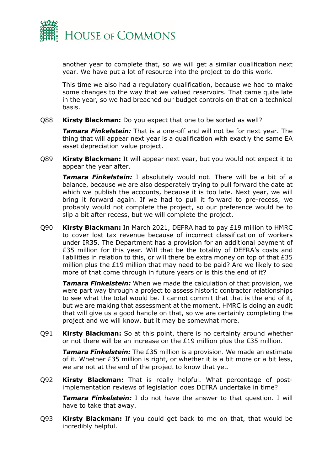

another year to complete that, so we will get a similar qualification next year. We have put a lot of resource into the project to do this work.

This time we also had a regulatory qualification, because we had to make some changes to the way that we valued reservoirs. That came quite late in the year, so we had breached our budget controls on that on a technical basis.

Q88 **Kirsty Blackman:** Do you expect that one to be sorted as well?

*Tamara Finkelstein:* That is a one-off and will not be for next year. The thing that will appear next year is a qualification with exactly the same EA asset depreciation value project.

Q89 **Kirsty Blackman:** It will appear next year, but you would not expect it to appear the year after.

*Tamara Finkelstein:* I absolutely would not. There will be a bit of a balance, because we are also desperately trying to pull forward the date at which we publish the accounts, because it is too late. Next year, we will bring it forward again. If we had to pull it forward to pre-recess, we probably would not complete the project, so our preference would be to slip a bit after recess, but we will complete the project.

Q90 **Kirsty Blackman:** In March 2021, DEFRA had to pay £19 million to HMRC to cover lost tax revenue because of incorrect classification of workers under IR35. The Department has a provision for an additional payment of £35 million for this year. Will that be the totality of DEFRA's costs and liabilities in relation to this, or will there be extra money on top of that £35 million plus the £19 million that may need to be paid? Are we likely to see more of that come through in future years or is this the end of it?

*Tamara Finkelstein:* When we made the calculation of that provision, we were part way through a project to assess historic contractor relationships to see what the total would be. I cannot commit that that is the end of it, but we are making that assessment at the moment. HMRC is doing an audit that will give us a good handle on that, so we are certainly completing the project and we will know, but it may be somewhat more.

Q91 **Kirsty Blackman:** So at this point, there is no certainty around whether or not there will be an increase on the  $E19$  million plus the  $E35$  million.

*Tamara Finkelstein:* The £35 million is a provision. We made an estimate of it. Whether £35 million is right, or whether it is a bit more or a bit less, we are not at the end of the project to know that yet.

Q92 **Kirsty Blackman:** That is really helpful. What percentage of postimplementation reviews of legislation does DEFRA undertake in time?

*Tamara Finkelstein:* I do not have the answer to that question. I will have to take that away.

Q93 **Kirsty Blackman:** If you could get back to me on that, that would be incredibly helpful.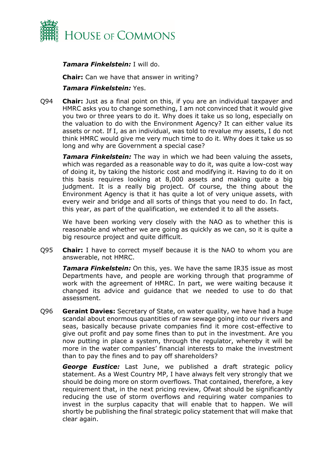

#### *Tamara Finkelstein:* I will do.

**Chair:** Can we have that answer in writing?

#### *Tamara Finkelstein:* Yes.

Q94 **Chair:** Just as a final point on this, if you are an individual taxpayer and HMRC asks you to change something, I am not convinced that it would give you two or three years to do it. Why does it take us so long, especially on the valuation to do with the Environment Agency? It can either value its assets or not. If I, as an individual, was told to revalue my assets, I do not think HMRC would give me very much time to do it. Why does it take us so long and why are Government a special case?

*Tamara Finkelstein:* The way in which we had been valuing the assets, which was regarded as a reasonable way to do it, was quite a low-cost way of doing it, by taking the historic cost and modifying it. Having to do it on this basis requires looking at 8,000 assets and making quite a big judgment. It is a really big project. Of course, the thing about the Environment Agency is that it has quite a lot of very unique assets, with every weir and bridge and all sorts of things that you need to do. In fact, this year, as part of the qualification, we extended it to all the assets.

We have been working very closely with the NAO as to whether this is reasonable and whether we are going as quickly as we can, so it is quite a big resource project and quite difficult.

Q95 **Chair:** I have to correct myself because it is the NAO to whom you are answerable, not HMRC.

*Tamara Finkelstein:* On this, yes. We have the same IR35 issue as most Departments have, and people are working through that programme of work with the agreement of HMRC. In part, we were waiting because it changed its advice and guidance that we needed to use to do that assessment.

Q96 **Geraint Davies:** Secretary of State, on water quality, we have had a huge scandal about enormous quantities of raw sewage going into our rivers and seas, basically because private companies find it more cost-effective to give out profit and pay some fines than to put in the investment. Are you now putting in place a system, through the regulator, whereby it will be more in the water companies' financial interests to make the investment than to pay the fines and to pay off shareholders?

*George Eustice:* Last June, we published a draft strategic policy statement. As a West Country MP, I have always felt very strongly that we should be doing more on storm overflows. That contained, therefore, a key requirement that, in the next pricing review, Ofwat should be significantly reducing the use of storm overflows and requiring water companies to invest in the surplus capacity that will enable that to happen. We will shortly be publishing the final strategic policy statement that will make that clear again.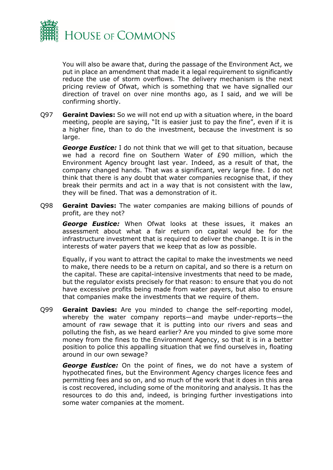

You will also be aware that, during the passage of the Environment Act, we put in place an amendment that made it a legal requirement to significantly reduce the use of storm overflows. The delivery mechanism is the next pricing review of Ofwat, which is something that we have signalled our direction of travel on over nine months ago, as I said, and we will be confirming shortly.

Q97 **Geraint Davies:** So we will not end up with a situation where, in the board meeting, people are saying, "It is easier just to pay the fine", even if it is a higher fine, than to do the investment, because the investment is so large.

*George Eustice:* I do not think that we will get to that situation, because we had a record fine on Southern Water of £90 million, which the Environment Agency brought last year. Indeed, as a result of that, the company changed hands. That was a significant, very large fine. I do not think that there is any doubt that water companies recognise that, if they break their permits and act in a way that is not consistent with the law, they will be fined. That was a demonstration of it.

Q98 **Geraint Davies:** The water companies are making billions of pounds of profit, are they not?

*George Eustice:* When Ofwat looks at these issues, it makes an assessment about what a fair return on capital would be for the infrastructure investment that is required to deliver the change. It is in the interests of water payers that we keep that as low as possible.

Equally, if you want to attract the capital to make the investments we need to make, there needs to be a return on capital, and so there is a return on the capital. These are capital-intensive investments that need to be made, but the regulator exists precisely for that reason: to ensure that you do not have excessive profits being made from water payers, but also to ensure that companies make the investments that we require of them.

Q99 **Geraint Davies:** Are you minded to change the self-reporting model, whereby the water company reports—and maybe under-reports—the amount of raw sewage that it is putting into our rivers and seas and polluting the fish, as we heard earlier? Are you minded to give some more money from the fines to the Environment Agency, so that it is in a better position to police this appalling situation that we find ourselves in, floating around in our own sewage?

*George Eustice:* On the point of fines, we do not have a system of hypothecated fines, but the Environment Agency charges licence fees and permitting fees and so on, and so much of the work that it does in this area is cost recovered, including some of the monitoring and analysis. It has the resources to do this and, indeed, is bringing further investigations into some water companies at the moment.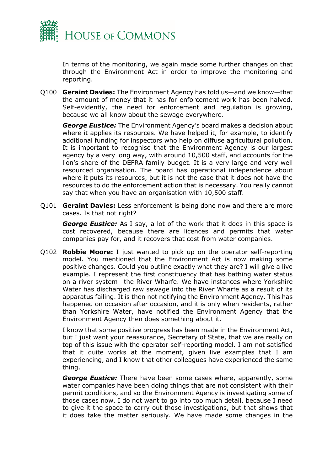

In terms of the monitoring, we again made some further changes on that through the Environment Act in order to improve the monitoring and reporting.

Q100 **Geraint Davies:** The Environment Agency has told us—and we know—that the amount of money that it has for enforcement work has been halved. Self-evidently, the need for enforcement and regulation is growing, because we all know about the sewage everywhere.

*George Eustice:* The Environment Agency's board makes a decision about where it applies its resources. We have helped it, for example, to identify additional funding for inspectors who help on diffuse agricultural pollution. It is important to recognise that the Environment Agency is our largest agency by a very long way, with around 10,500 staff, and accounts for the lion's share of the DEFRA family budget. It is a very large and very well resourced organisation. The board has operational independence about where it puts its resources, but it is not the case that it does not have the resources to do the enforcement action that is necessary. You really cannot say that when you have an organisation with 10,500 staff.

Q101 **Geraint Davies:** Less enforcement is being done now and there are more cases. Is that not right?

**George Eustice:** As I say, a lot of the work that it does in this space is cost recovered, because there are licences and permits that water companies pay for, and it recovers that cost from water companies.

Q102 **Robbie Moore:** I just wanted to pick up on the operator self-reporting model. You mentioned that the Environment Act is now making some positive changes. Could you outline exactly what they are? I will give a live example. I represent the first constituency that has bathing water status on a river system—the River Wharfe. We have instances where Yorkshire Water has discharged raw sewage into the River Wharfe as a result of its apparatus failing. It is then not notifying the Environment Agency. This has happened on occasion after occasion, and it is only when residents, rather than Yorkshire Water, have notified the Environment Agency that the Environment Agency then does something about it.

I know that some positive progress has been made in the Environment Act, but I just want your reassurance, Secretary of State, that we are really on top of this issue with the operator self-reporting model. I am not satisfied that it quite works at the moment, given live examples that I am experiencing, and I know that other colleagues have experienced the same thing.

*George Eustice:* There have been some cases where, apparently, some water companies have been doing things that are not consistent with their permit conditions, and so the Environment Agency is investigating some of those cases now. I do not want to go into too much detail, because I need to give it the space to carry out those investigations, but that shows that it does take the matter seriously. We have made some changes in the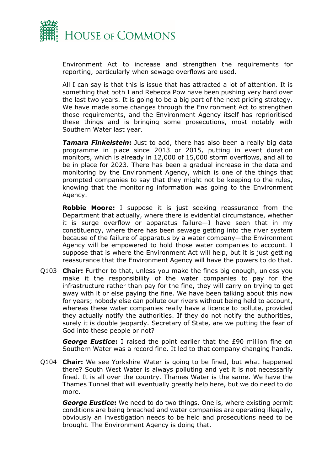

Environment Act to increase and strengthen the requirements for reporting, particularly when sewage overflows are used.

All I can say is that this is issue that has attracted a lot of attention. It is something that both I and Rebecca Pow have been pushing very hard over the last two years. It is going to be a big part of the next pricing strategy. We have made some changes through the Environment Act to strengthen those requirements, and the Environment Agency itself has reprioritised these things and is bringing some prosecutions, most notably with Southern Water last year.

*Tamara Finkelstein***:** Just to add, there has also been a really big data programme in place since 2013 or 2015, putting in event duration monitors, which is already in 12,000 of 15,000 storm overflows, and all to be in place for 2023. There has been a gradual increase in the data and monitoring by the Environment Agency, which is one of the things that prompted companies to say that they might not be keeping to the rules, knowing that the monitoring information was going to the Environment Agency.

**Robbie Moore:** I suppose it is just seeking reassurance from the Department that actually, where there is evidential circumstance, whether it is surge overflow or apparatus failure—I have seen that in my constituency, where there has been sewage getting into the river system because of the failure of apparatus by a water company—the Environment Agency will be empowered to hold those water companies to account. I suppose that is where the Environment Act will help, but it is just getting reassurance that the Environment Agency will have the powers to do that.

Q103 **Chair:** Further to that, unless you make the fines big enough, unless you make it the responsibility of the water companies to pay for the infrastructure rather than pay for the fine, they will carry on trying to get away with it or else paying the fine. We have been talking about this now for years; nobody else can pollute our rivers without being held to account, whereas these water companies really have a licence to pollute, provided they actually notify the authorities. If they do not notify the authorities, surely it is double jeopardy. Secretary of State, are we putting the fear of God into these people or not?

*George Eustice***:** I raised the point earlier that the £90 million fine on Southern Water was a record fine. It led to that company changing hands.

Q104 **Chair:** We see Yorkshire Water is going to be fined, but what happened there? South West Water is always polluting and yet it is not necessarily fined. It is all over the country. Thames Water is the same. We have the Thames Tunnel that will eventually greatly help here, but we do need to do more.

*George Eustice***:** We need to do two things. One is, where existing permit conditions are being breached and water companies are operating illegally, obviously an investigation needs to be held and prosecutions need to be brought. The Environment Agency is doing that.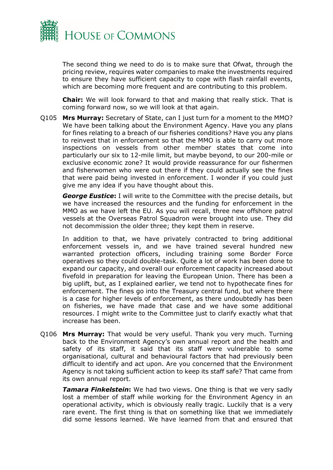

The second thing we need to do is to make sure that Ofwat, through the pricing review, requires water companies to make the investments required to ensure they have sufficient capacity to cope with flash rainfall events, which are becoming more frequent and are contributing to this problem.

**Chair:** We will look forward to that and making that really stick. That is coming forward now, so we will look at that again.

Q105 **Mrs Murray:** Secretary of State, can I just turn for a moment to the MMO? We have been talking about the Environment Agency. Have you any plans for fines relating to a breach of our fisheries conditions? Have you any plans to reinvest that in enforcement so that the MMO is able to carry out more inspections on vessels from other member states that come into particularly our six to 12-mile limit, but maybe beyond, to our 200-mile or exclusive economic zone? It would provide reassurance for our fishermen and fisherwomen who were out there if they could actually see the fines that were paid being invested in enforcement. I wonder if you could just give me any idea if you have thought about this.

*George Eustice***:** I will write to the Committee with the precise details, but we have increased the resources and the funding for enforcement in the MMO as we have left the EU. As you will recall, three new offshore patrol vessels at the Overseas Patrol Squadron were brought into use. They did not decommission the older three; they kept them in reserve.

In addition to that, we have privately contracted to bring additional enforcement vessels in, and we have trained several hundred new warranted protection officers, including training some Border Force operatives so they could double-task. Quite a lot of work has been done to expand our capacity, and overall our enforcement capacity increased about fivefold in preparation for leaving the European Union. There has been a big uplift, but, as I explained earlier, we tend not to hypothecate fines for enforcement. The fines go into the Treasury central fund, but where there is a case for higher levels of enforcement, as there undoubtedly has been on fisheries, we have made that case and we have some additional resources. I might write to the Committee just to clarify exactly what that increase has been.

Q106 **Mrs Murray:** That would be very useful. Thank you very much. Turning back to the Environment Agency's own annual report and the health and safety of its staff, it said that its staff were vulnerable to some organisational, cultural and behavioural factors that had previously been difficult to identify and act upon. Are you concerned that the Environment Agency is not taking sufficient action to keep its staff safe? That came from its own annual report.

*Tamara Finkelstein***:** We had two views. One thing is that we very sadly lost a member of staff while working for the Environment Agency in an operational activity, which is obviously really tragic. Luckily that is a very rare event. The first thing is that on something like that we immediately did some lessons learned. We have learned from that and ensured that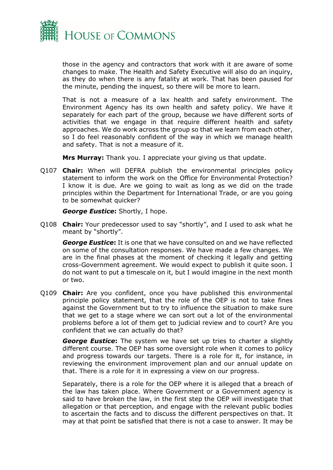

those in the agency and contractors that work with it are aware of some changes to make. The Health and Safety Executive will also do an inquiry, as they do when there is any fatality at work. That has been paused for the minute, pending the inquest, so there will be more to learn.

That is not a measure of a lax health and safety environment. The Environment Agency has its own health and safety policy. We have it separately for each part of the group, because we have different sorts of activities that we engage in that require different health and safety approaches. We do work across the group so that we learn from each other, so I do feel reasonably confident of the way in which we manage health and safety. That is not a measure of it.

**Mrs Murray:** Thank you. I appreciate your giving us that update.

Q107 **Chair:** When will DEFRA publish the environmental principles policy statement to inform the work on the Office for Environmental Protection? I know it is due. Are we going to wait as long as we did on the trade principles within the Department for International Trade, or are you going to be somewhat quicker?

*George Eustice***:** Shortly, I hope.

Q108 **Chair:** Your predecessor used to say "shortly", and I used to ask what he meant by "shortly".

*George Eustice***:** It is one that we have consulted on and we have reflected on some of the consultation responses. We have made a few changes. We are in the final phases at the moment of checking it legally and getting cross-Government agreement. We would expect to publish it quite soon. I do not want to put a timescale on it, but I would imagine in the next month or two.

Q109 **Chair:** Are you confident, once you have published this environmental principle policy statement, that the role of the OEP is not to take fines against the Government but to try to influence the situation to make sure that we get to a stage where we can sort out a lot of the environmental problems before a lot of them get to judicial review and to court? Are you confident that we can actually do that?

*George Eustice***:** The system we have set up tries to charter a slightly different course. The OEP has some oversight role when it comes to policy and progress towards our targets. There is a role for it, for instance, in reviewing the environment improvement plan and our annual update on that. There is a role for it in expressing a view on our progress.

Separately, there is a role for the OEP where it is alleged that a breach of the law has taken place. Where Government or a Government agency is said to have broken the law, in the first step the OEP will investigate that allegation or that perception, and engage with the relevant public bodies to ascertain the facts and to discuss the different perspectives on that. It may at that point be satisfied that there is not a case to answer. It may be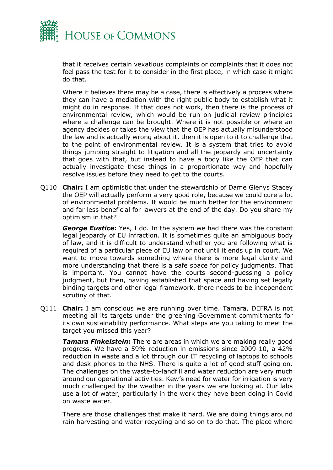

that it receives certain vexatious complaints or complaints that it does not feel pass the test for it to consider in the first place, in which case it might do that.

Where it believes there may be a case, there is effectively a process where they can have a mediation with the right public body to establish what it might do in response. If that does not work, then there is the process of environmental review, which would be run on judicial review principles where a challenge can be brought. Where it is not possible or where an agency decides or takes the view that the OEP has actually misunderstood the law and is actually wrong about it, then it is open to it to challenge that to the point of environmental review. It is a system that tries to avoid things jumping straight to litigation and all the jeopardy and uncertainty that goes with that, but instead to have a body like the OEP that can actually investigate these things in a proportionate way and hopefully resolve issues before they need to get to the courts.

Q110 **Chair:** I am optimistic that under the stewardship of Dame Glenys Stacey the OEP will actually perform a very good role, because we could cure a lot of environmental problems. It would be much better for the environment and far less beneficial for lawyers at the end of the day. Do you share my optimism in that?

*George Eustice***:** Yes, I do. In the system we had there was the constant legal jeopardy of EU infraction. It is sometimes quite an ambiguous body of law, and it is difficult to understand whether you are following what is required of a particular piece of EU law or not until it ends up in court. We want to move towards something where there is more legal clarity and more understanding that there is a safe space for policy judgments. That is important. You cannot have the courts second-guessing a policy judgment, but then, having established that space and having set legally binding targets and other legal framework, there needs to be independent scrutiny of that.

Q111 **Chair:** I am conscious we are running over time. Tamara, DEFRA is not meeting all its targets under the greening Government commitments for its own sustainability performance. What steps are you taking to meet the target you missed this year?

**Tamara Finkelstein:** There are areas in which we are making really good progress. We have a 59% reduction in emissions since 2009-10, a 42% reduction in waste and a lot through our IT recycling of laptops to schools and desk phones to the NHS. There is quite a lot of good stuff going on. The challenges on the waste-to-landfill and water reduction are very much around our operational activities. Kew's need for water for irrigation is very much challenged by the weather in the years we are looking at. Our labs use a lot of water, particularly in the work they have been doing in Covid on waste water.

There are those challenges that make it hard. We are doing things around rain harvesting and water recycling and so on to do that. The place where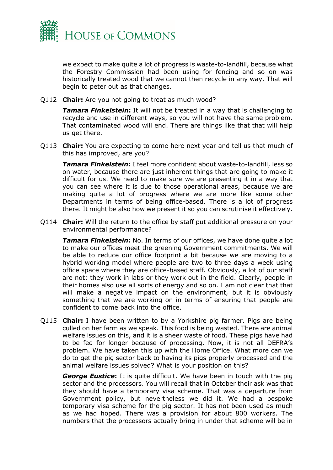

we expect to make quite a lot of progress is waste-to-landfill, because what the Forestry Commission had been using for fencing and so on was historically treated wood that we cannot then recycle in any way. That will begin to peter out as that changes.

Q112 **Chair:** Are you not going to treat as much wood?

**Tamara Finkelstein:** It will not be treated in a way that is challenging to recycle and use in different ways, so you will not have the same problem. That contaminated wood will end. There are things like that that will help us get there.

Q113 **Chair:** You are expecting to come here next year and tell us that much of this has improved, are you?

*Tamara Finkelstein***:** I feel more confident about waste-to-landfill, less so on water, because there are just inherent things that are going to make it difficult for us. We need to make sure we are presenting it in a way that you can see where it is due to those operational areas, because we are making quite a lot of progress where we are more like some other Departments in terms of being office-based. There is a lot of progress there. It might be also how we present it so you can scrutinise it effectively.

Q114 **Chair:** Will the return to the office by staff put additional pressure on your environmental performance?

*Tamara Finkelstein***:** No. In terms of our offices, we have done quite a lot to make our offices meet the greening Government commitments. We will be able to reduce our office footprint a bit because we are moving to a hybrid working model where people are two to three days a week using office space where they are office-based staff. Obviously, a lot of our staff are not; they work in labs or they work out in the field. Clearly, people in their homes also use all sorts of energy and so on. I am not clear that that will make a negative impact on the environment, but it is obviously something that we are working on in terms of ensuring that people are confident to come back into the office.

Q115 **Chair:** I have been written to by a Yorkshire pig farmer. Pigs are being culled on her farm as we speak. This food is being wasted. There are animal welfare issues on this, and it is a sheer waste of food. These pigs have had to be fed for longer because of processing. Now, it is not all DEFRA's problem. We have taken this up with the Home Office. What more can we do to get the pig sector back to having its pigs properly processed and the animal welfare issues solved? What is your position on this?

*George Eustice***:** It is quite difficult. We have been in touch with the pig sector and the processors. You will recall that in October their ask was that they should have a temporary visa scheme. That was a departure from Government policy, but nevertheless we did it. We had a bespoke temporary visa scheme for the pig sector. It has not been used as much as we had hoped. There was a provision for about 800 workers. The numbers that the processors actually bring in under that scheme will be in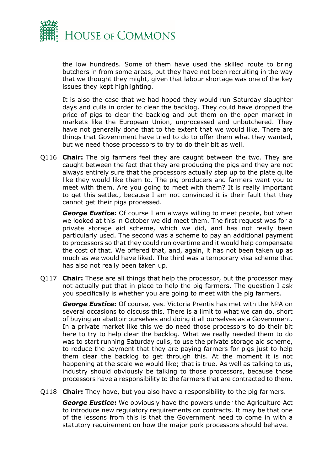

the low hundreds. Some of them have used the skilled route to bring butchers in from some areas, but they have not been recruiting in the way that we thought they might, given that labour shortage was one of the key issues they kept highlighting.

It is also the case that we had hoped they would run Saturday slaughter days and culls in order to clear the backlog. They could have dropped the price of pigs to clear the backlog and put them on the open market in markets like the European Union, unprocessed and unbutchered. They have not generally done that to the extent that we would like. There are things that Government have tried to do to offer them what they wanted, but we need those processors to try to do their bit as well.

Q116 **Chair:** The pig farmers feel they are caught between the two. They are caught between the fact that they are producing the pigs and they are not always entirely sure that the processors actually step up to the plate quite like they would like them to. The pig producers and farmers want you to meet with them. Are you going to meet with them? It is really important to get this settled, because I am not convinced it is their fault that they cannot get their pigs processed.

**George Eustice:** Of course I am always willing to meet people, but when we looked at this in October we did meet them. The first request was for a private storage aid scheme, which we did, and has not really been particularly used. The second was a scheme to pay an additional payment to processors so that they could run overtime and it would help compensate the cost of that. We offered that, and, again, it has not been taken up as much as we would have liked. The third was a temporary visa scheme that has also not really been taken up.

Q117 **Chair:** These are all things that help the processor, but the processor may not actually put that in place to help the pig farmers. The question I ask you specifically is whether you are going to meet with the pig farmers.

*George Eustice***:** Of course, yes. Victoria Prentis has met with the NPA on several occasions to discuss this. There is a limit to what we can do, short of buying an abattoir ourselves and doing it all ourselves as a Government. In a private market like this we do need those processors to do their bit here to try to help clear the backlog. What we really needed them to do was to start running Saturday culls, to use the private storage aid scheme, to reduce the payment that they are paying farmers for pigs just to help them clear the backlog to get through this. At the moment it is not happening at the scale we would like; that is true. As well as talking to us, industry should obviously be talking to those processors, because those processors have a responsibility to the farmers that are contracted to them.

Q118 **Chair:** They have, but you also have a responsibility to the pig farmers.

*George Eustice***:** We obviously have the powers under the Agriculture Act to introduce new regulatory requirements on contracts. It may be that one of the lessons from this is that the Government need to come in with a statutory requirement on how the major pork processors should behave.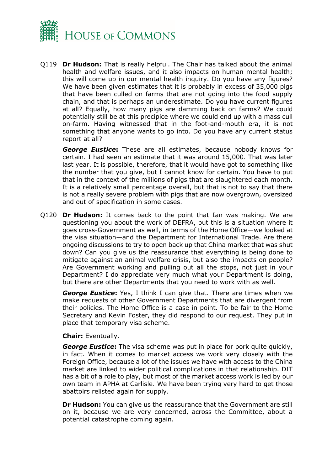

Q119 **Dr Hudson:** That is really helpful. The Chair has talked about the animal health and welfare issues, and it also impacts on human mental health; this will come up in our mental health inquiry. Do you have any figures? We have been given estimates that it is probably in excess of 35,000 pigs that have been culled on farms that are not going into the food supply chain, and that is perhaps an underestimate. Do you have current figures at all? Equally, how many pigs are damming back on farms? We could potentially still be at this precipice where we could end up with a mass cull on-farm. Having witnessed that in the foot-and-mouth era, it is not something that anyone wants to go into. Do you have any current status report at all?

*George Eustice***:** These are all estimates, because nobody knows for certain. I had seen an estimate that it was around 15,000. That was later last year. It is possible, therefore, that it would have got to something like the number that you give, but I cannot know for certain. You have to put that in the context of the millions of pigs that are slaughtered each month. It is a relatively small percentage overall, but that is not to say that there is not a really severe problem with pigs that are now overgrown, oversized and out of specification in some cases.

Q120 **Dr Hudson:** It comes back to the point that Ian was making. We are questioning you about the work of DEFRA, but this is a situation where it goes cross-Government as well, in terms of the Home Office—we looked at the visa situation—and the Department for International Trade. Are there ongoing discussions to try to open back up that China market that was shut down? Can you give us the reassurance that everything is being done to mitigate against an animal welfare crisis, but also the impacts on people? Are Government working and pulling out all the stops, not just in your Department? I do appreciate very much what your Department is doing, but there are other Departments that you need to work with as well.

*George Eustice***:** Yes, I think I can give that. There are times when we make requests of other Government Departments that are divergent from their policies. The Home Office is a case in point. To be fair to the Home Secretary and Kevin Foster, they did respond to our request. They put in place that temporary visa scheme.

#### **Chair:** Eventually.

*George Eustice*: The visa scheme was put in place for pork quite quickly, in fact. When it comes to market access we work very closely with the Foreign Office, because a lot of the issues we have with access to the China market are linked to wider political complications in that relationship. DIT has a bit of a role to play, but most of the market access work is led by our own team in APHA at Carlisle. We have been trying very hard to get those abattoirs relisted again for supply.

**Dr Hudson:** You can give us the reassurance that the Government are still on it, because we are very concerned, across the Committee, about a potential catastrophe coming again.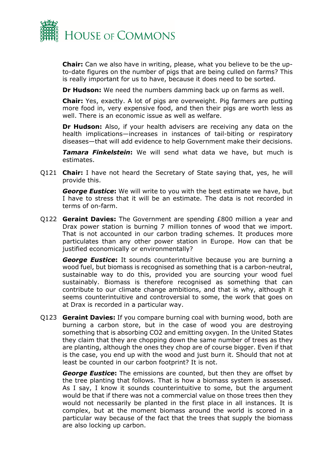

**Chair:** Can we also have in writing, please, what you believe to be the upto-date figures on the number of pigs that are being culled on farms? This is really important for us to have, because it does need to be sorted.

**Dr Hudson:** We need the numbers damming back up on farms as well.

**Chair:** Yes, exactly. A lot of pigs are overweight. Pig farmers are putting more food in, very expensive food, and then their pigs are worth less as well. There is an economic issue as well as welfare.

**Dr Hudson:** Also, if your health advisers are receiving any data on the health implications—increases in instances of tail-biting or respiratory diseases—that will add evidence to help Government make their decisions.

*Tamara Finkelstein***:** We will send what data we have, but much is estimates.

Q121 **Chair:** I have not heard the Secretary of State saying that, yes, he will provide this.

*George Eustice***:** We will write to you with the best estimate we have, but I have to stress that it will be an estimate. The data is not recorded in terms of on-farm.

Q122 **Geraint Davies:** The Government are spending £800 million a year and Drax power station is burning 7 million tonnes of wood that we import. That is not accounted in our carbon trading schemes. It produces more particulates than any other power station in Europe. How can that be justified economically or environmentally?

*George Eustice***:** It sounds counterintuitive because you are burning a wood fuel, but biomass is recognised as something that is a carbon-neutral, sustainable way to do this, provided you are sourcing your wood fuel sustainably. Biomass is therefore recognised as something that can contribute to our climate change ambitions, and that is why, although it seems counterintuitive and controversial to some, the work that goes on at Drax is recorded in a particular way.

Q123 **Geraint Davies:** If you compare burning coal with burning wood, both are burning a carbon store, but in the case of wood you are destroying something that is absorbing CO2 and emitting oxygen. In the United States they claim that they are chopping down the same number of trees as they are planting, although the ones they chop are of course bigger. Even if that is the case, you end up with the wood and just burn it. Should that not at least be counted in our carbon footprint? It is not.

*George Eustice***:** The emissions are counted, but then they are offset by the tree planting that follows. That is how a biomass system is assessed. As I say, I know it sounds counterintuitive to some, but the argument would be that if there was not a commercial value on those trees then they would not necessarily be planted in the first place in all instances. It is complex, but at the moment biomass around the world is scored in a particular way because of the fact that the trees that supply the biomass are also locking up carbon.